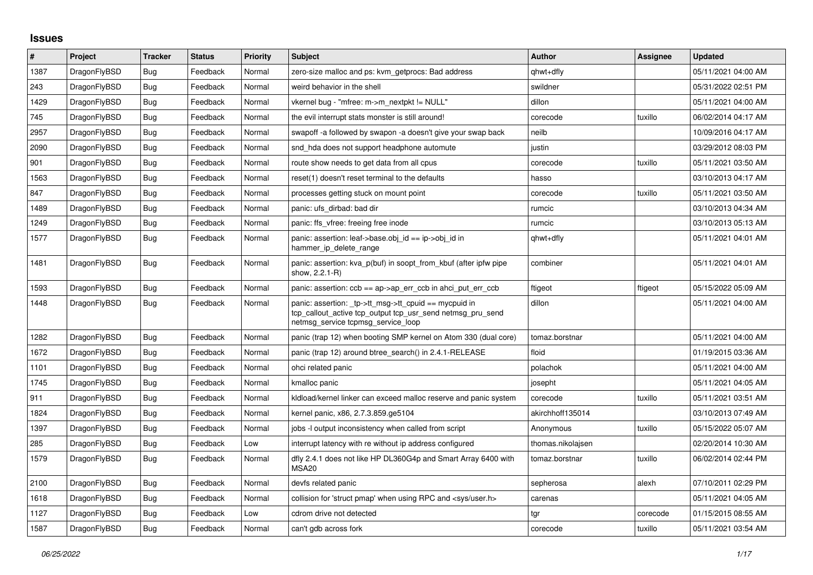## **Issues**

| #    | Project      | <b>Tracker</b> | <b>Status</b> | Priority | <b>Subject</b>                                                                                                                                            | Author            | Assignee | <b>Updated</b>      |
|------|--------------|----------------|---------------|----------|-----------------------------------------------------------------------------------------------------------------------------------------------------------|-------------------|----------|---------------------|
| 1387 | DragonFlyBSD | <b>Bug</b>     | Feedback      | Normal   | zero-size malloc and ps: kvm getprocs: Bad address                                                                                                        | qhwt+dfly         |          | 05/11/2021 04:00 AM |
| 243  | DragonFlyBSD | Bug            | Feedback      | Normal   | weird behavior in the shell                                                                                                                               | swildner          |          | 05/31/2022 02:51 PM |
| 1429 | DragonFlyBSD | Bug            | Feedback      | Normal   | vkernel bug - "mfree: m->m nextpkt != NULL"                                                                                                               | dillon            |          | 05/11/2021 04:00 AM |
| 745  | DragonFlyBSD | <b>Bug</b>     | Feedback      | Normal   | the evil interrupt stats monster is still around!                                                                                                         | corecode          | tuxillo  | 06/02/2014 04:17 AM |
| 2957 | DragonFlyBSD | <b>Bug</b>     | Feedback      | Normal   | swapoff-a followed by swapon-a doesn't give your swap back                                                                                                | neilb             |          | 10/09/2016 04:17 AM |
| 2090 | DragonFlyBSD | Bug            | Feedback      | Normal   | snd_hda does not support headphone automute                                                                                                               | justin            |          | 03/29/2012 08:03 PM |
| 901  | DragonFlyBSD | Bug            | Feedback      | Normal   | route show needs to get data from all cpus                                                                                                                | corecode          | tuxillo  | 05/11/2021 03:50 AM |
| 1563 | DragonFlyBSD | Bug            | Feedback      | Normal   | reset(1) doesn't reset terminal to the defaults                                                                                                           | hasso             |          | 03/10/2013 04:17 AM |
| 847  | DragonFlyBSD | Bug            | Feedback      | Normal   | processes getting stuck on mount point                                                                                                                    | corecode          | tuxillo  | 05/11/2021 03:50 AM |
| 1489 | DragonFlyBSD | Bug            | Feedback      | Normal   | panic: ufs dirbad: bad dir                                                                                                                                | rumcic            |          | 03/10/2013 04:34 AM |
| 1249 | DragonFlyBSD | <b>Bug</b>     | Feedback      | Normal   | panic: ffs_vfree: freeing free inode                                                                                                                      | rumcic            |          | 03/10/2013 05:13 AM |
| 1577 | DragonFlyBSD | Bug            | Feedback      | Normal   | panic: assertion: leaf->base.obj id == ip->obj id in<br>hammer ip delete range                                                                            | qhwt+dfly         |          | 05/11/2021 04:01 AM |
| 1481 | DragonFlyBSD | <b>Bug</b>     | Feedback      | Normal   | panic: assertion: kva_p(buf) in soopt_from_kbuf (after ipfw pipe<br>show, 2.2.1-R)                                                                        | combiner          |          | 05/11/2021 04:01 AM |
| 1593 | DragonFlyBSD | <b>Bug</b>     | Feedback      | Normal   | panic: assertion: $ccb == ap \rightarrow ap$ err $ccb$ in ahci put err $ccb$                                                                              | ftigeot           | ftigeot  | 05/15/2022 05:09 AM |
| 1448 | DragonFlyBSD | Bug            | Feedback      | Normal   | panic: assertion: _tp->tt_msg->tt_cpuid == mycpuid in<br>tcp_callout_active tcp_output tcp_usr_send netmsg_pru_send<br>netmsg_service tcpmsg_service_loop | dillon            |          | 05/11/2021 04:00 AM |
| 1282 | DragonFlyBSD | <b>Bug</b>     | Feedback      | Normal   | panic (trap 12) when booting SMP kernel on Atom 330 (dual core)                                                                                           | tomaz.borstnar    |          | 05/11/2021 04:00 AM |
| 1672 | DragonFlyBSD | <b>Bug</b>     | Feedback      | Normal   | panic (trap 12) around btree_search() in 2.4.1-RELEASE                                                                                                    | floid             |          | 01/19/2015 03:36 AM |
| 1101 | DragonFlyBSD | <b>Bug</b>     | Feedback      | Normal   | ohci related panic                                                                                                                                        | polachok          |          | 05/11/2021 04:00 AM |
| 1745 | DragonFlyBSD | Bug            | Feedback      | Normal   | kmalloc panic                                                                                                                                             | josepht           |          | 05/11/2021 04:05 AM |
| 911  | DragonFlyBSD | Bug            | Feedback      | Normal   | kidload/kernel linker can exceed malloc reserve and panic system                                                                                          | corecode          | tuxillo  | 05/11/2021 03:51 AM |
| 1824 | DragonFlyBSD | Bug            | Feedback      | Normal   | kernel panic, x86, 2.7.3.859.ge5104                                                                                                                       | akirchhoff135014  |          | 03/10/2013 07:49 AM |
| 1397 | DragonFlyBSD | Bug            | Feedback      | Normal   | jobs -I output inconsistency when called from script                                                                                                      | Anonymous         | tuxillo  | 05/15/2022 05:07 AM |
| 285  | DragonFlyBSD | <b>Bug</b>     | Feedback      | Low      | interrupt latency with re without ip address configured                                                                                                   | thomas.nikolajsen |          | 02/20/2014 10:30 AM |
| 1579 | DragonFlyBSD | Bug            | Feedback      | Normal   | dfly 2.4.1 does not like HP DL360G4p and Smart Array 6400 with<br>MSA20                                                                                   | tomaz.borstnar    | tuxillo  | 06/02/2014 02:44 PM |
| 2100 | DragonFlyBSD | <b>Bug</b>     | Feedback      | Normal   | devfs related panic                                                                                                                                       | sepherosa         | alexh    | 07/10/2011 02:29 PM |
| 1618 | DragonFlyBSD | Bug            | Feedback      | Normal   | collision for 'struct pmap' when using RPC and <sys user.h=""></sys>                                                                                      | carenas           |          | 05/11/2021 04:05 AM |
| 1127 | DragonFlyBSD | <b>Bug</b>     | Feedback      | Low      | cdrom drive not detected                                                                                                                                  | tgr               | corecode | 01/15/2015 08:55 AM |
| 1587 | DragonFlyBSD | <b>Bug</b>     | Feedback      | Normal   | can't gdb across fork                                                                                                                                     | corecode          | tuxillo  | 05/11/2021 03:54 AM |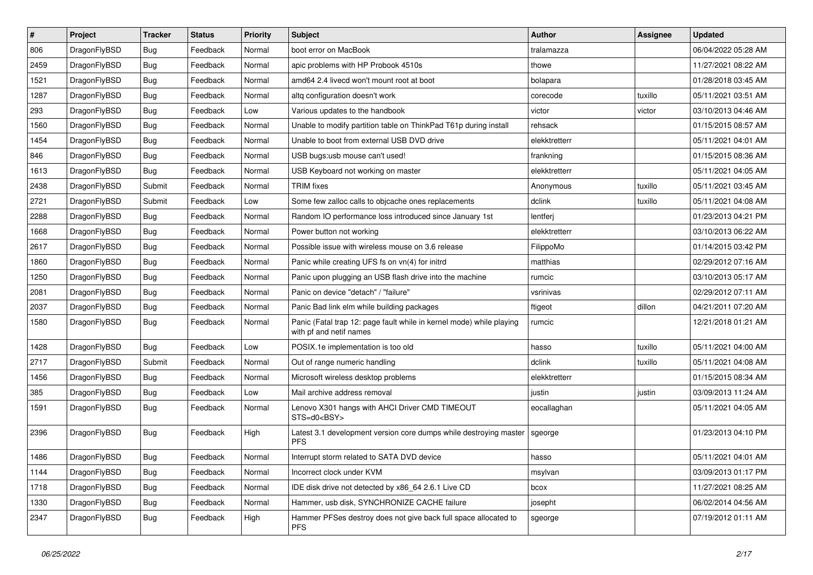| $\pmb{\#}$ | Project      | <b>Tracker</b> | <b>Status</b> | <b>Priority</b> | Subject                                                                                         | <b>Author</b> | <b>Assignee</b> | <b>Updated</b>      |
|------------|--------------|----------------|---------------|-----------------|-------------------------------------------------------------------------------------------------|---------------|-----------------|---------------------|
| 806        | DragonFlyBSD | Bug            | Feedback      | Normal          | boot error on MacBook                                                                           | tralamazza    |                 | 06/04/2022 05:28 AM |
| 2459       | DragonFlyBSD | Bug            | Feedback      | Normal          | apic problems with HP Probook 4510s                                                             | thowe         |                 | 11/27/2021 08:22 AM |
| 1521       | DragonFlyBSD | Bug            | Feedback      | Normal          | amd64 2.4 livecd won't mount root at boot                                                       | bolapara      |                 | 01/28/2018 03:45 AM |
| 1287       | DragonFlyBSD | <b>Bug</b>     | Feedback      | Normal          | altq configuration doesn't work                                                                 | corecode      | tuxillo         | 05/11/2021 03:51 AM |
| 293        | DragonFlyBSD | Bug            | Feedback      | Low             | Various updates to the handbook                                                                 | victor        | victor          | 03/10/2013 04:46 AM |
| 1560       | DragonFlyBSD | Bug            | Feedback      | Normal          | Unable to modify partition table on ThinkPad T61p during install                                | rehsack       |                 | 01/15/2015 08:57 AM |
| 1454       | DragonFlyBSD | Bug            | Feedback      | Normal          | Unable to boot from external USB DVD drive                                                      | elekktretterr |                 | 05/11/2021 04:01 AM |
| 846        | DragonFlyBSD | Bug            | Feedback      | Normal          | USB bugs:usb mouse can't used!                                                                  | frankning     |                 | 01/15/2015 08:36 AM |
| 1613       | DragonFlyBSD | Bug            | Feedback      | Normal          | USB Keyboard not working on master                                                              | elekktretterr |                 | 05/11/2021 04:05 AM |
| 2438       | DragonFlyBSD | Submit         | Feedback      | Normal          | <b>TRIM</b> fixes                                                                               | Anonymous     | tuxillo         | 05/11/2021 03:45 AM |
| 2721       | DragonFlyBSD | Submit         | Feedback      | Low             | Some few zalloc calls to objcache ones replacements                                             | dclink        | tuxillo         | 05/11/2021 04:08 AM |
| 2288       | DragonFlyBSD | Bug            | Feedback      | Normal          | Random IO performance loss introduced since January 1st                                         | lentferj      |                 | 01/23/2013 04:21 PM |
| 1668       | DragonFlyBSD | Bug            | Feedback      | Normal          | Power button not working                                                                        | elekktretterr |                 | 03/10/2013 06:22 AM |
| 2617       | DragonFlyBSD | Bug            | Feedback      | Normal          | Possible issue with wireless mouse on 3.6 release                                               | FilippoMo     |                 | 01/14/2015 03:42 PM |
| 1860       | DragonFlyBSD | Bug            | Feedback      | Normal          | Panic while creating UFS fs on vn(4) for initrd                                                 | matthias      |                 | 02/29/2012 07:16 AM |
| 1250       | DragonFlyBSD | Bug            | Feedback      | Normal          | Panic upon plugging an USB flash drive into the machine                                         | rumcic        |                 | 03/10/2013 05:17 AM |
| 2081       | DragonFlyBSD | <b>Bug</b>     | Feedback      | Normal          | Panic on device "detach" / "failure"                                                            | vsrinivas     |                 | 02/29/2012 07:11 AM |
| 2037       | DragonFlyBSD | Bug            | Feedback      | Normal          | Panic Bad link elm while building packages                                                      | ftigeot       | dillon          | 04/21/2011 07:20 AM |
| 1580       | DragonFlyBSD | Bug            | Feedback      | Normal          | Panic (Fatal trap 12: page fault while in kernel mode) while playing<br>with pf and netif names | rumcic        |                 | 12/21/2018 01:21 AM |
| 1428       | DragonFlyBSD | Bug            | Feedback      | Low             | POSIX.1e implementation is too old                                                              | hasso         | tuxillo         | 05/11/2021 04:00 AM |
| 2717       | DragonFlyBSD | Submit         | Feedback      | Normal          | Out of range numeric handling                                                                   | dclink        | tuxillo         | 05/11/2021 04:08 AM |
| 1456       | DragonFlyBSD | Bug            | Feedback      | Normal          | Microsoft wireless desktop problems                                                             | elekktretterr |                 | 01/15/2015 08:34 AM |
| 385        | DragonFlyBSD | Bug            | Feedback      | Low             | Mail archive address removal                                                                    | justin        | justin          | 03/09/2013 11:24 AM |
| 1591       | DragonFlyBSD | Bug            | Feedback      | Normal          | Lenovo X301 hangs with AHCI Driver CMD TIMEOUT<br>STS=d0 <bsy></bsy>                            | eocallaghan   |                 | 05/11/2021 04:05 AM |
| 2396       | DragonFlyBSD | Bug            | Feedback      | High            | Latest 3.1 development version core dumps while destroying master<br><b>PFS</b>                 | sgeorge       |                 | 01/23/2013 04:10 PM |
| 1486       | DragonFlyBSD | Bug            | Feedback      | Normal          | Interrupt storm related to SATA DVD device                                                      | hasso         |                 | 05/11/2021 04:01 AM |
| 1144       | DragonFlyBSD | Bug            | Feedback      | Normal          | Incorrect clock under KVM                                                                       | msylvan       |                 | 03/09/2013 01:17 PM |
| 1718       | DragonFlyBSD | Bug            | Feedback      | Normal          | IDE disk drive not detected by x86_64 2.6.1 Live CD                                             | bcox          |                 | 11/27/2021 08:25 AM |
| 1330       | DragonFlyBSD | Bug            | Feedback      | Normal          | Hammer, usb disk, SYNCHRONIZE CACHE failure                                                     | josepht       |                 | 06/02/2014 04:56 AM |
| 2347       | DragonFlyBSD | Bug            | Feedback      | High            | Hammer PFSes destroy does not give back full space allocated to<br><b>PFS</b>                   | sgeorge       |                 | 07/19/2012 01:11 AM |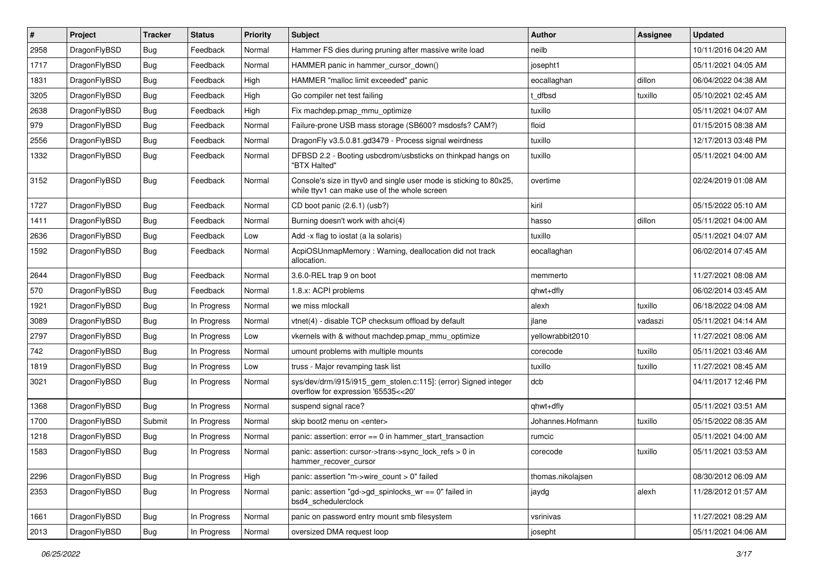| $\sharp$ | Project      | <b>Tracker</b> | <b>Status</b> | <b>Priority</b> | Subject                                                                                                            | <b>Author</b>     | <b>Assignee</b> | <b>Updated</b>      |
|----------|--------------|----------------|---------------|-----------------|--------------------------------------------------------------------------------------------------------------------|-------------------|-----------------|---------------------|
| 2958     | DragonFlyBSD | Bug            | Feedback      | Normal          | Hammer FS dies during pruning after massive write load                                                             | neilb             |                 | 10/11/2016 04:20 AM |
| 1717     | DragonFlyBSD | Bug            | Feedback      | Normal          | HAMMER panic in hammer_cursor_down()                                                                               | josepht1          |                 | 05/11/2021 04:05 AM |
| 1831     | DragonFlyBSD | <b>Bug</b>     | Feedback      | High            | HAMMER "malloc limit exceeded" panic                                                                               | eocallaghan       | dillon          | 06/04/2022 04:38 AM |
| 3205     | DragonFlyBSD | Bug            | Feedback      | High            | Go compiler net test failing                                                                                       | t dfbsd           | tuxillo         | 05/10/2021 02:45 AM |
| 2638     | DragonFlyBSD | Bug            | Feedback      | High            | Fix machdep.pmap_mmu_optimize                                                                                      | tuxillo           |                 | 05/11/2021 04:07 AM |
| 979      | DragonFlyBSD | Bug            | Feedback      | Normal          | Failure-prone USB mass storage (SB600? msdosfs? CAM?)                                                              | floid             |                 | 01/15/2015 08:38 AM |
| 2556     | DragonFlyBSD | Bug            | Feedback      | Normal          | DragonFly v3.5.0.81.gd3479 - Process signal weirdness                                                              | tuxillo           |                 | 12/17/2013 03:48 PM |
| 1332     | DragonFlyBSD | Bug            | Feedback      | Normal          | DFBSD 2.2 - Booting usbcdrom/usbsticks on thinkpad hangs on<br>"BTX Halted"                                        | tuxillo           |                 | 05/11/2021 04:00 AM |
| 3152     | DragonFlyBSD | <b>Bug</b>     | Feedback      | Normal          | Console's size in ttyv0 and single user mode is sticking to 80x25,<br>while ttyv1 can make use of the whole screen | overtime          |                 | 02/24/2019 01:08 AM |
| 1727     | DragonFlyBSD | Bug            | Feedback      | Normal          | CD boot panic (2.6.1) (usb?)                                                                                       | kiril             |                 | 05/15/2022 05:10 AM |
| 1411     | DragonFlyBSD | Bug            | Feedback      | Normal          | Burning doesn't work with ahci(4)                                                                                  | hasso             | dillon          | 05/11/2021 04:00 AM |
| 2636     | DragonFlyBSD | Bug            | Feedback      | Low             | Add -x flag to iostat (a la solaris)                                                                               | tuxillo           |                 | 05/11/2021 04:07 AM |
| 1592     | DragonFlyBSD | Bug            | Feedback      | Normal          | AcpiOSUnmapMemory: Warning, deallocation did not track<br>allocation.                                              | eocallaghan       |                 | 06/02/2014 07:45 AM |
| 2644     | DragonFlyBSD | Bug            | Feedback      | Normal          | 3.6.0-REL trap 9 on boot                                                                                           | memmerto          |                 | 11/27/2021 08:08 AM |
| 570      | DragonFlyBSD | Bug            | Feedback      | Normal          | 1.8.x: ACPI problems                                                                                               | qhwt+dfly         |                 | 06/02/2014 03:45 AM |
| 1921     | DragonFlyBSD | Bug            | In Progress   | Normal          | we miss mlockall                                                                                                   | alexh             | tuxillo         | 06/18/2022 04:08 AM |
| 3089     | DragonFlyBSD | Bug            | In Progress   | Normal          | vtnet(4) - disable TCP checksum offload by default                                                                 | jlane             | vadaszi         | 05/11/2021 04:14 AM |
| 2797     | DragonFlyBSD | Bug            | In Progress   | Low             | vkernels with & without machdep.pmap mmu optimize                                                                  | yellowrabbit2010  |                 | 11/27/2021 08:06 AM |
| 742      | DragonFlyBSD | Bug            | In Progress   | Normal          | umount problems with multiple mounts                                                                               | corecode          | tuxillo         | 05/11/2021 03:46 AM |
| 1819     | DragonFlyBSD | Bug            | In Progress   | Low             | truss - Major revamping task list                                                                                  | tuxillo           | tuxillo         | 11/27/2021 08:45 AM |
| 3021     | DragonFlyBSD | Bug            | In Progress   | Normal          | sys/dev/drm/i915/i915_gem_stolen.c:115]: (error) Signed integer<br>overflow for expression '65535<<20'             | dcb               |                 | 04/11/2017 12:46 PM |
| 1368     | DragonFlyBSD | Bug            | In Progress   | Normal          | suspend signal race?                                                                                               | qhwt+dfly         |                 | 05/11/2021 03:51 AM |
| 1700     | DragonFlyBSD | Submit         | In Progress   | Normal          | skip boot2 menu on <enter></enter>                                                                                 | Johannes.Hofmann  | tuxillo         | 05/15/2022 08:35 AM |
| 1218     | DragonFlyBSD | Bug            | In Progress   | Normal          | panic: assertion: $error == 0$ in hammer start transaction                                                         | rumcic            |                 | 05/11/2021 04:00 AM |
| 1583     | DragonFlyBSD | Bug            | In Progress   | Normal          | panic: assertion: cursor->trans->sync_lock_refs > 0 in<br>hammer_recover_cursor                                    | corecode          | tuxillo         | 05/11/2021 03:53 AM |
| 2296     | DragonFlyBSD | <b>Bug</b>     | In Progress   | High            | panic: assertion "m->wire count > 0" failed                                                                        | thomas.nikolajsen |                 | 08/30/2012 06:09 AM |
| 2353     | DragonFlyBSD | <b>Bug</b>     | In Progress   | Normal          | panic: assertion "gd->gd_spinlocks_wr == 0" failed in<br>bsd4_schedulerclock                                       | jaydg             | alexh           | 11/28/2012 01:57 AM |
| 1661     | DragonFlyBSD | <b>Bug</b>     | In Progress   | Normal          | panic on password entry mount smb filesystem                                                                       | vsrinivas         |                 | 11/27/2021 08:29 AM |
| 2013     | DragonFlyBSD | <b>Bug</b>     | In Progress   | Normal          | oversized DMA request loop                                                                                         | josepht           |                 | 05/11/2021 04:06 AM |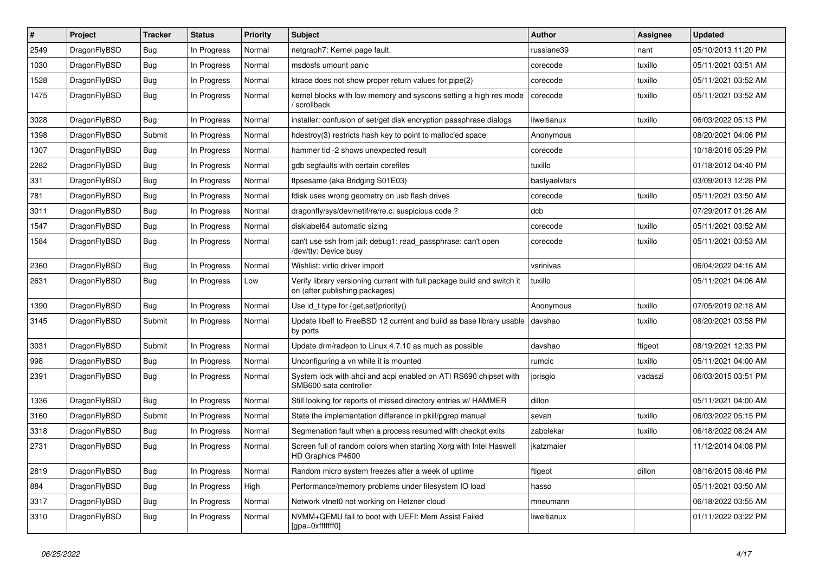| #    | Project      | <b>Tracker</b> | <b>Status</b> | <b>Priority</b> | Subject                                                                                                   | <b>Author</b> | <b>Assignee</b> | <b>Updated</b>      |
|------|--------------|----------------|---------------|-----------------|-----------------------------------------------------------------------------------------------------------|---------------|-----------------|---------------------|
| 2549 | DragonFlyBSD | Bug            | In Progress   | Normal          | netgraph7: Kernel page fault.                                                                             | russiane39    | nant            | 05/10/2013 11:20 PM |
| 1030 | DragonFlyBSD | Bug            | In Progress   | Normal          | msdosfs umount panic                                                                                      | corecode      | tuxillo         | 05/11/2021 03:51 AM |
| 1528 | DragonFlyBSD | Bug            | In Progress   | Normal          | ktrace does not show proper return values for pipe(2)                                                     | corecode      | tuxillo         | 05/11/2021 03:52 AM |
| 1475 | DragonFlyBSD | Bug            | In Progress   | Normal          | kernel blocks with low memory and syscons setting a high res mode<br>/ scrollback                         | corecode      | tuxillo         | 05/11/2021 03:52 AM |
| 3028 | DragonFlyBSD | Bug            | In Progress   | Normal          | installer: confusion of set/get disk encryption passphrase dialogs                                        | liweitianux   | tuxillo         | 06/03/2022 05:13 PM |
| 1398 | DragonFlyBSD | Submit         | In Progress   | Normal          | hdestroy(3) restricts hash key to point to malloc'ed space                                                | Anonymous     |                 | 08/20/2021 04:06 PM |
| 1307 | DragonFlyBSD | Bug            | In Progress   | Normal          | hammer tid -2 shows unexpected result                                                                     | corecode      |                 | 10/18/2016 05:29 PM |
| 2282 | DragonFlyBSD | Bug            | In Progress   | Normal          | gdb segfaults with certain corefiles                                                                      | tuxillo       |                 | 01/18/2012 04:40 PM |
| 331  | DragonFlyBSD | Bug            | In Progress   | Normal          | ftpsesame (aka Bridging S01E03)                                                                           | bastyaelvtars |                 | 03/09/2013 12:28 PM |
| 781  | DragonFlyBSD | Bug            | In Progress   | Normal          | fdisk uses wrong geometry on usb flash drives                                                             | corecode      | tuxillo         | 05/11/2021 03:50 AM |
| 3011 | DragonFlyBSD | Bug            | In Progress   | Normal          | dragonfly/sys/dev/netif/re/re.c: suspicious code?                                                         | dcb           |                 | 07/29/2017 01:26 AM |
| 1547 | DragonFlyBSD | Bug            | In Progress   | Normal          | disklabel64 automatic sizing                                                                              | corecode      | tuxillo         | 05/11/2021 03:52 AM |
| 1584 | DragonFlyBSD | Bug            | In Progress   | Normal          | can't use ssh from jail: debug1: read_passphrase: can't open<br>/dev/tty: Device busy                     | corecode      | tuxillo         | 05/11/2021 03:53 AM |
| 2360 | DragonFlyBSD | Bug            | In Progress   | Normal          | Wishlist: virtio driver import                                                                            | vsrinivas     |                 | 06/04/2022 04:16 AM |
| 2631 | DragonFlyBSD | Bug            | In Progress   | Low             | Verify library versioning current with full package build and switch it<br>on (after publishing packages) | tuxillo       |                 | 05/11/2021 04:06 AM |
| 1390 | DragonFlyBSD | <b>Bug</b>     | In Progress   | Normal          | Use id_t type for {get,set}priority()                                                                     | Anonymous     | tuxillo         | 07/05/2019 02:18 AM |
| 3145 | DragonFlyBSD | Submit         | In Progress   | Normal          | Update libelf to FreeBSD 12 current and build as base library usable<br>by ports                          | davshao       | tuxillo         | 08/20/2021 03:58 PM |
| 3031 | DragonFlyBSD | Submit         | In Progress   | Normal          | Update drm/radeon to Linux 4.7.10 as much as possible                                                     | davshao       | ftigeot         | 08/19/2021 12:33 PM |
| 998  | DragonFlyBSD | Bug            | In Progress   | Normal          | Unconfiguring a vn while it is mounted                                                                    | rumcic        | tuxillo         | 05/11/2021 04:00 AM |
| 2391 | DragonFlyBSD | Bug            | In Progress   | Normal          | System lock with ahci and acpi enabled on ATI RS690 chipset with<br>SMB600 sata controller                | jorisgio      | vadaszi         | 06/03/2015 03:51 PM |
| 1336 | DragonFlyBSD | Bug            | In Progress   | Normal          | Still looking for reports of missed directory entries w/ HAMMER                                           | dillon        |                 | 05/11/2021 04:00 AM |
| 3160 | DragonFlyBSD | Submit         | In Progress   | Normal          | State the implementation difference in pkill/pgrep manual                                                 | sevan         | tuxillo         | 06/03/2022 05:15 PM |
| 3318 | DragonFlyBSD | Bug            | In Progress   | Normal          | Segmenation fault when a process resumed with checkpt exits                                               | zabolekar     | tuxillo         | 06/18/2022 08:24 AM |
| 2731 | DragonFlyBSD | Bug            | In Progress   | Normal          | Screen full of random colors when starting Xorg with Intel Haswell<br>HD Graphics P4600                   | ikatzmaier    |                 | 11/12/2014 04:08 PM |
| 2819 | DragonFlyBSD | Bug            | In Progress   | Normal          | Random micro system freezes after a week of uptime                                                        | ftigeot       | dillon          | 08/16/2015 08:46 PM |
| 884  | DragonFlyBSD | Bug            | In Progress   | High            | Performance/memory problems under filesystem IO load                                                      | hasso         |                 | 05/11/2021 03:50 AM |
| 3317 | DragonFlyBSD | <b>Bug</b>     | In Progress   | Normal          | Network vtnet0 not working on Hetzner cloud                                                               | mneumann      |                 | 06/18/2022 03:55 AM |
| 3310 | DragonFlyBSD | <b>Bug</b>     | In Progress   | Normal          | NVMM+QEMU fail to boot with UEFI: Mem Assist Failed<br>[gpa=0xfffffff0]                                   | liweitianux   |                 | 01/11/2022 03:22 PM |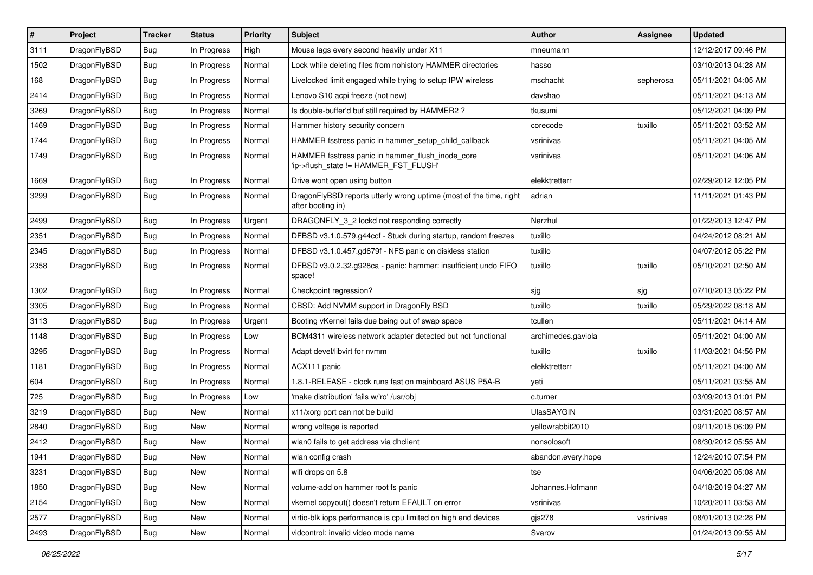| $\vert$ # | Project      | <b>Tracker</b> | <b>Status</b> | <b>Priority</b> | <b>Subject</b>                                                                            | <b>Author</b>      | <b>Assignee</b> | <b>Updated</b>      |
|-----------|--------------|----------------|---------------|-----------------|-------------------------------------------------------------------------------------------|--------------------|-----------------|---------------------|
| 3111      | DragonFlyBSD | Bug            | In Progress   | High            | Mouse lags every second heavily under X11                                                 | mneumann           |                 | 12/12/2017 09:46 PM |
| 1502      | DragonFlyBSD | <b>Bug</b>     | In Progress   | Normal          | Lock while deleting files from nohistory HAMMER directories                               | hasso              |                 | 03/10/2013 04:28 AM |
| 168       | DragonFlyBSD | <b>Bug</b>     | In Progress   | Normal          | Livelocked limit engaged while trying to setup IPW wireless                               | mschacht           | sepherosa       | 05/11/2021 04:05 AM |
| 2414      | DragonFlyBSD | Bug            | In Progress   | Normal          | Lenovo S10 acpi freeze (not new)                                                          | davshao            |                 | 05/11/2021 04:13 AM |
| 3269      | DragonFlyBSD | Bug            | In Progress   | Normal          | Is double-buffer'd buf still required by HAMMER2 ?                                        | tkusumi            |                 | 05/12/2021 04:09 PM |
| 1469      | DragonFlyBSD | <b>Bug</b>     | In Progress   | Normal          | Hammer history security concern                                                           | corecode           | tuxillo         | 05/11/2021 03:52 AM |
| 1744      | DragonFlyBSD | Bug            | In Progress   | Normal          | HAMMER fsstress panic in hammer_setup_child_callback                                      | vsrinivas          |                 | 05/11/2021 04:05 AM |
| 1749      | DragonFlyBSD | Bug            | In Progress   | Normal          | HAMMER fsstress panic in hammer_flush_inode_core<br>'ip->flush_state != HAMMER_FST_FLUSH' | vsrinivas          |                 | 05/11/2021 04:06 AM |
| 1669      | DragonFlyBSD | <b>Bug</b>     | In Progress   | Normal          | Drive wont open using button                                                              | elekktretterr      |                 | 02/29/2012 12:05 PM |
| 3299      | DragonFlyBSD | <b>Bug</b>     | In Progress   | Normal          | DragonFlyBSD reports utterly wrong uptime (most of the time, right<br>after booting in)   | adrian             |                 | 11/11/2021 01:43 PM |
| 2499      | DragonFlyBSD | Bug            | In Progress   | Urgent          | DRAGONFLY_3_2 lockd not responding correctly                                              | Nerzhul            |                 | 01/22/2013 12:47 PM |
| 2351      | DragonFlyBSD | <b>Bug</b>     | In Progress   | Normal          | DFBSD v3.1.0.579.g44ccf - Stuck during startup, random freezes                            | tuxillo            |                 | 04/24/2012 08:21 AM |
| 2345      | DragonFlyBSD | <b>Bug</b>     | In Progress   | Normal          | DFBSD v3.1.0.457.gd679f - NFS panic on diskless station                                   | tuxillo            |                 | 04/07/2012 05:22 PM |
| 2358      | DragonFlyBSD | Bug            | In Progress   | Normal          | DFBSD v3.0.2.32.g928ca - panic: hammer: insufficient undo FIFO<br>space!                  | tuxillo            | tuxillo         | 05/10/2021 02:50 AM |
| 1302      | DragonFlyBSD | Bug            | In Progress   | Normal          | Checkpoint regression?                                                                    | sjg                | sjg             | 07/10/2013 05:22 PM |
| 3305      | DragonFlyBSD | Bug            | In Progress   | Normal          | CBSD: Add NVMM support in DragonFly BSD                                                   | tuxillo            | tuxillo         | 05/29/2022 08:18 AM |
| 3113      | DragonFlyBSD | Bug            | In Progress   | Urgent          | Booting vKernel fails due being out of swap space                                         | tcullen            |                 | 05/11/2021 04:14 AM |
| 1148      | DragonFlyBSD | Bug            | In Progress   | Low             | BCM4311 wireless network adapter detected but not functional                              | archimedes.gaviola |                 | 05/11/2021 04:00 AM |
| 3295      | DragonFlyBSD | Bug            | In Progress   | Normal          | Adapt devel/libvirt for nvmm                                                              | tuxillo            | tuxillo         | 11/03/2021 04:56 PM |
| 1181      | DragonFlyBSD | <b>Bug</b>     | In Progress   | Normal          | ACX111 panic                                                                              | elekktretterr      |                 | 05/11/2021 04:00 AM |
| 604       | DragonFlyBSD | Bug            | In Progress   | Normal          | 1.8.1-RELEASE - clock runs fast on mainboard ASUS P5A-B                                   | yeti               |                 | 05/11/2021 03:55 AM |
| 725       | DragonFlyBSD | Bug            | In Progress   | Low             | 'make distribution' fails w/'ro' /usr/obj                                                 | c.turner           |                 | 03/09/2013 01:01 PM |
| 3219      | DragonFlyBSD | Bug            | <b>New</b>    | Normal          | x11/xorg port can not be build                                                            | <b>UlasSAYGIN</b>  |                 | 03/31/2020 08:57 AM |
| 2840      | DragonFlyBSD | Bug            | <b>New</b>    | Normal          | wrong voltage is reported                                                                 | yellowrabbit2010   |                 | 09/11/2015 06:09 PM |
| 2412      | DragonFlyBSD | Bug            | <b>New</b>    | Normal          | wlan0 fails to get address via dhclient                                                   | nonsolosoft        |                 | 08/30/2012 05:55 AM |
| 1941      | DragonFlyBSD | Bug            | New           | Normal          | wlan config crash                                                                         | abandon.every.hope |                 | 12/24/2010 07:54 PM |
| 3231      | DragonFlyBSD | Bug            | <b>New</b>    | Normal          | wifi drops on 5.8                                                                         | tse                |                 | 04/06/2020 05:08 AM |
| 1850      | DragonFlyBSD | Bug            | New           | Normal          | volume-add on hammer root fs panic                                                        | Johannes.Hofmann   |                 | 04/18/2019 04:27 AM |
| 2154      | DragonFlyBSD | Bug            | New           | Normal          | vkernel copyout() doesn't return EFAULT on error                                          | vsrinivas          |                 | 10/20/2011 03:53 AM |
| 2577      | DragonFlyBSD | Bug            | New           | Normal          | virtio-blk iops performance is cpu limited on high end devices                            | $g$ js $278$       | vsrinivas       | 08/01/2013 02:28 PM |
| 2493      | DragonFlyBSD | Bug            | New           | Normal          | vidcontrol: invalid video mode name                                                       | Svarov             |                 | 01/24/2013 09:55 AM |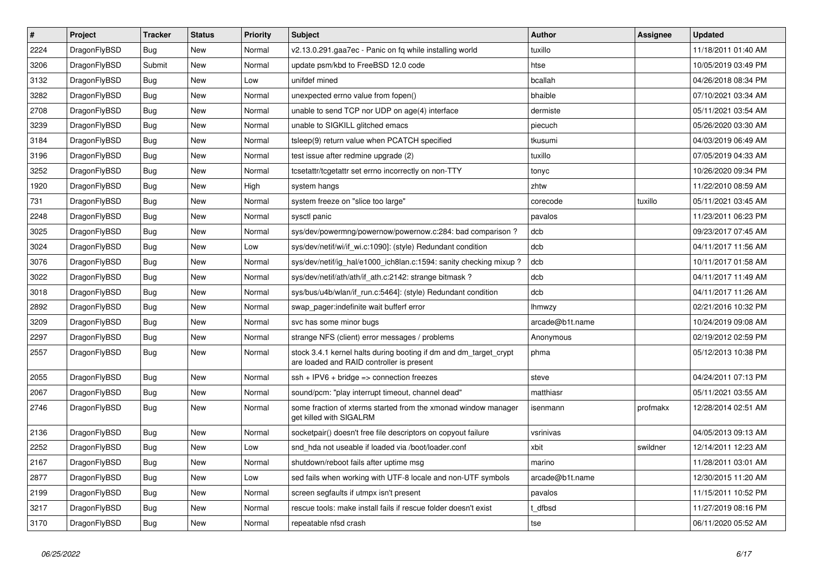| $\vert$ # | <b>Project</b> | <b>Tracker</b> | <b>Status</b> | <b>Priority</b> | <b>Subject</b>                                                                                                 | <b>Author</b>   | <b>Assignee</b> | <b>Updated</b>      |
|-----------|----------------|----------------|---------------|-----------------|----------------------------------------------------------------------------------------------------------------|-----------------|-----------------|---------------------|
| 2224      | DragonFlyBSD   | Bug            | New           | Normal          | v2.13.0.291.gaa7ec - Panic on fq while installing world                                                        | tuxillo         |                 | 11/18/2011 01:40 AM |
| 3206      | DragonFlyBSD   | Submit         | <b>New</b>    | Normal          | update psm/kbd to FreeBSD 12.0 code                                                                            | htse            |                 | 10/05/2019 03:49 PM |
| 3132      | DragonFlyBSD   | Bug            | New           | Low             | unifdef mined                                                                                                  | bcallah         |                 | 04/26/2018 08:34 PM |
| 3282      | DragonFlyBSD   | Bug            | New           | Normal          | unexpected errno value from fopen()                                                                            | bhaible         |                 | 07/10/2021 03:34 AM |
| 2708      | DragonFlyBSD   | Bug            | <b>New</b>    | Normal          | unable to send TCP nor UDP on age(4) interface                                                                 | dermiste        |                 | 05/11/2021 03:54 AM |
| 3239      | DragonFlyBSD   | Bug            | <b>New</b>    | Normal          | unable to SIGKILL glitched emacs                                                                               | piecuch         |                 | 05/26/2020 03:30 AM |
| 3184      | DragonFlyBSD   | Bug            | New           | Normal          | tsleep(9) return value when PCATCH specified                                                                   | tkusumi         |                 | 04/03/2019 06:49 AM |
| 3196      | DragonFlyBSD   | Bug            | <b>New</b>    | Normal          | test issue after redmine upgrade (2)                                                                           | tuxillo         |                 | 07/05/2019 04:33 AM |
| 3252      | DragonFlyBSD   | Bug            | <b>New</b>    | Normal          | tcsetattr/tcgetattr set errno incorrectly on non-TTY                                                           | tonyc           |                 | 10/26/2020 09:34 PM |
| 1920      | DragonFlyBSD   | Bug            | New           | High            | system hangs                                                                                                   | zhtw            |                 | 11/22/2010 08:59 AM |
| 731       | DragonFlyBSD   | Bug            | New           | Normal          | system freeze on "slice too large"                                                                             | corecode        | tuxillo         | 05/11/2021 03:45 AM |
| 2248      | DragonFlyBSD   | <b>Bug</b>     | New           | Normal          | sysctl panic                                                                                                   | pavalos         |                 | 11/23/2011 06:23 PM |
| 3025      | DragonFlyBSD   | Bug            | <b>New</b>    | Normal          | sys/dev/powermng/powernow/powernow.c:284: bad comparison?                                                      | dcb             |                 | 09/23/2017 07:45 AM |
| 3024      | DragonFlyBSD   | Bug            | <b>New</b>    | Low             | sys/dev/netif/wi/if_wi.c:1090]: (style) Redundant condition                                                    | dcb             |                 | 04/11/2017 11:56 AM |
| 3076      | DragonFlyBSD   | Bug            | <b>New</b>    | Normal          | sys/dev/netif/ig_hal/e1000_ich8lan.c:1594: sanity checking mixup?                                              | dcb             |                 | 10/11/2017 01:58 AM |
| 3022      | DragonFlyBSD   | Bug            | New           | Normal          | sys/dev/netif/ath/ath/if ath.c:2142: strange bitmask?                                                          | dcb             |                 | 04/11/2017 11:49 AM |
| 3018      | DragonFlyBSD   | Bug            | <b>New</b>    | Normal          | sys/bus/u4b/wlan/if run.c:5464]: (style) Redundant condition                                                   | dcb             |                 | 04/11/2017 11:26 AM |
| 2892      | DragonFlyBSD   | <b>Bug</b>     | <b>New</b>    | Normal          | swap pager:indefinite wait bufferf error                                                                       | <b>Ihmwzy</b>   |                 | 02/21/2016 10:32 PM |
| 3209      | DragonFlyBSD   | Bug            | <b>New</b>    | Normal          | svc has some minor bugs                                                                                        | arcade@b1t.name |                 | 10/24/2019 09:08 AM |
| 2297      | DragonFlyBSD   | Bug            | New           | Normal          | strange NFS (client) error messages / problems                                                                 | Anonymous       |                 | 02/19/2012 02:59 PM |
| 2557      | DragonFlyBSD   | Bug            | <b>New</b>    | Normal          | stock 3.4.1 kernel halts during booting if dm and dm_target_crypt<br>are loaded and RAID controller is present | phma            |                 | 05/12/2013 10:38 PM |
| 2055      | DragonFlyBSD   | Bug            | <b>New</b>    | Normal          | $ssh + IPV6 + bridge \Rightarrow connection freezes$                                                           | steve           |                 | 04/24/2011 07:13 PM |
| 2067      | DragonFlyBSD   | Bug            | <b>New</b>    | Normal          | sound/pcm: "play interrupt timeout, channel dead"                                                              | matthiasr       |                 | 05/11/2021 03:55 AM |
| 2746      | DragonFlyBSD   | Bug            | New           | Normal          | some fraction of xterms started from the xmonad window manager<br>get killed with SIGALRM                      | isenmann        | profmakx        | 12/28/2014 02:51 AM |
| 2136      | DragonFlyBSD   | Bug            | <b>New</b>    | Normal          | socketpair() doesn't free file descriptors on copyout failure                                                  | vsrinivas       |                 | 04/05/2013 09:13 AM |
| 2252      | DragonFlyBSD   | Bug            | <b>New</b>    | Low             | snd hda not useable if loaded via /boot/loader.conf                                                            | xbit            | swildner        | 12/14/2011 12:23 AM |
| 2167      | DragonFlyBSD   | Bug            | <b>New</b>    | Normal          | shutdown/reboot fails after uptime msg                                                                         | marino          |                 | 11/28/2011 03:01 AM |
| 2877      | DragonFlyBSD   | Bug            | New           | Low             | sed fails when working with UTF-8 locale and non-UTF symbols                                                   | arcade@b1t.name |                 | 12/30/2015 11:20 AM |
| 2199      | DragonFlyBSD   | Bug            | <b>New</b>    | Normal          | screen segfaults if utmpx isn't present                                                                        | pavalos         |                 | 11/15/2011 10:52 PM |
| 3217      | DragonFlyBSD   | Bug            | New           | Normal          | rescue tools: make install fails if rescue folder doesn't exist                                                | dfbsd           |                 | 11/27/2019 08:16 PM |
| 3170      | DragonFlyBSD   | Bug            | <b>New</b>    | Normal          | repeatable nfsd crash                                                                                          | tse             |                 | 06/11/2020 05:52 AM |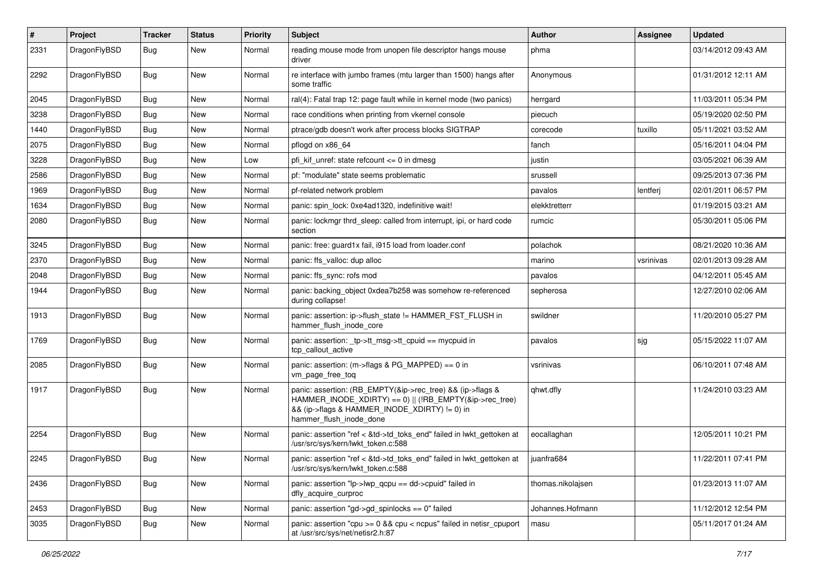| $\pmb{\#}$ | Project      | <b>Tracker</b> | <b>Status</b> | <b>Priority</b> | Subject                                                                                                                                                                                           | Author            | Assignee  | <b>Updated</b>      |
|------------|--------------|----------------|---------------|-----------------|---------------------------------------------------------------------------------------------------------------------------------------------------------------------------------------------------|-------------------|-----------|---------------------|
| 2331       | DragonFlyBSD | Bug            | New           | Normal          | reading mouse mode from unopen file descriptor hangs mouse<br>driver                                                                                                                              | phma              |           | 03/14/2012 09:43 AM |
| 2292       | DragonFlyBSD | Bug            | <b>New</b>    | Normal          | re interface with jumbo frames (mtu larger than 1500) hangs after<br>some traffic                                                                                                                 | Anonymous         |           | 01/31/2012 12:11 AM |
| 2045       | DragonFlyBSD | <b>Bug</b>     | <b>New</b>    | Normal          | ral(4): Fatal trap 12: page fault while in kernel mode (two panics)                                                                                                                               | herrgard          |           | 11/03/2011 05:34 PM |
| 3238       | DragonFlyBSD | Bug            | New           | Normal          | race conditions when printing from vkernel console                                                                                                                                                | piecuch           |           | 05/19/2020 02:50 PM |
| 1440       | DragonFlyBSD | <b>Bug</b>     | <b>New</b>    | Normal          | ptrace/gdb doesn't work after process blocks SIGTRAP                                                                                                                                              | corecode          | tuxillo   | 05/11/2021 03:52 AM |
| 2075       | DragonFlyBSD | Bug            | New           | Normal          | pflogd on x86 64                                                                                                                                                                                  | fanch             |           | 05/16/2011 04:04 PM |
| 3228       | DragonFlyBSD | Bug            | New           | Low             | pfi kif unref: state refcount $\leq$ 0 in dmesg                                                                                                                                                   | justin            |           | 03/05/2021 06:39 AM |
| 2586       | DragonFlyBSD | <b>Bug</b>     | <b>New</b>    | Normal          | pf: "modulate" state seems problematic                                                                                                                                                            | srussell          |           | 09/25/2013 07:36 PM |
| 1969       | DragonFlyBSD | Bug            | New           | Normal          | pf-related network problem                                                                                                                                                                        | pavalos           | lentferj  | 02/01/2011 06:57 PM |
| 1634       | DragonFlyBSD | Bug            | <b>New</b>    | Normal          | panic: spin lock: 0xe4ad1320, indefinitive wait!                                                                                                                                                  | elekktretterr     |           | 01/19/2015 03:21 AM |
| 2080       | DragonFlyBSD | Bug            | New           | Normal          | panic: lockmgr thrd_sleep: called from interrupt, ipi, or hard code<br>section                                                                                                                    | rumcic            |           | 05/30/2011 05:06 PM |
| 3245       | DragonFlyBSD | <b>Bug</b>     | <b>New</b>    | Normal          | panic: free: guard1x fail, i915 load from loader.conf                                                                                                                                             | polachok          |           | 08/21/2020 10:36 AM |
| 2370       | DragonFlyBSD | Bug            | New           | Normal          | panic: ffs valloc: dup alloc                                                                                                                                                                      | marino            | vsrinivas | 02/01/2013 09:28 AM |
| 2048       | DragonFlyBSD | Bug            | New           | Normal          | panic: ffs sync: rofs mod                                                                                                                                                                         | pavalos           |           | 04/12/2011 05:45 AM |
| 1944       | DragonFlyBSD | <b>Bug</b>     | <b>New</b>    | Normal          | panic: backing_object 0xdea7b258 was somehow re-referenced<br>during collapse!                                                                                                                    | sepherosa         |           | 12/27/2010 02:06 AM |
| 1913       | DragonFlyBSD | Bug            | New           | Normal          | panic: assertion: ip->flush_state != HAMMER_FST_FLUSH in<br>hammer_flush_inode_core                                                                                                               | swildner          |           | 11/20/2010 05:27 PM |
| 1769       | DragonFlyBSD | Bug            | New           | Normal          | panic: assertion: tp->tt_msg->tt_cpuid == mycpuid in<br>tcp_callout_active                                                                                                                        | pavalos           | sjg       | 05/15/2022 11:07 AM |
| 2085       | DragonFlyBSD | Bug            | New           | Normal          | panic: assertion: (m->flags & PG_MAPPED) == 0 in<br>vm_page_free_toq                                                                                                                              | vsrinivas         |           | 06/10/2011 07:48 AM |
| 1917       | DragonFlyBSD | <b>Bug</b>     | <b>New</b>    | Normal          | panic: assertion: (RB_EMPTY(&ip->rec_tree) && (ip->flags &<br>HAMMER_INODE_XDIRTY) == 0)    (!RB_EMPTY(&ip->rec_tree)<br>&& (ip->flags & HAMMER_INODE_XDIRTY) != 0) in<br>hammer_flush_inode_done | qhwt.dfly         |           | 11/24/2010 03:23 AM |
| 2254       | DragonFlyBSD | Bug            | <b>New</b>    | Normal          | panic: assertion "ref < &td->td_toks_end" failed in lwkt_gettoken at<br>/usr/src/sys/kern/lwkt_token.c:588                                                                                        | eocallaghan       |           | 12/05/2011 10:21 PM |
| 2245       | DragonFlyBSD | <b>Bug</b>     | New           | Normal          | panic: assertion "ref < &td->td_toks_end" failed in lwkt_gettoken at<br>/usr/src/sys/kern/lwkt_token.c:588                                                                                        | juanfra684        |           | 11/22/2011 07:41 PM |
| 2436       | DragonFlyBSD | Bug            | New           | Normal          | panic: assertion "lp->lwp_qcpu == dd->cpuid" failed in<br>dfly_acquire_curproc                                                                                                                    | thomas.nikolajsen |           | 01/23/2013 11:07 AM |
| 2453       | DragonFlyBSD | <b>Bug</b>     | New           | Normal          | panic: assertion "gd->gd_spinlocks == 0" failed                                                                                                                                                   | Johannes.Hofmann  |           | 11/12/2012 12:54 PM |
| 3035       | DragonFlyBSD | <b>Bug</b>     | New           | Normal          | panic: assertion "cpu >= 0 && cpu < ncpus" failed in netisr_cpuport<br>at /usr/src/sys/net/netisr2.h:87                                                                                           | masu              |           | 05/11/2017 01:24 AM |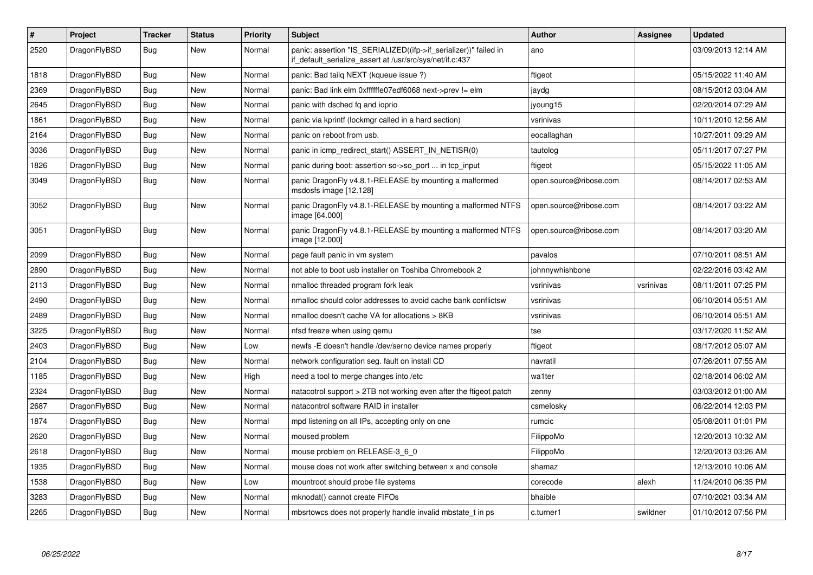| #    | Project      | <b>Tracker</b> | <b>Status</b> | <b>Priority</b> | <b>Subject</b>                                                                                                               | <b>Author</b>          | Assignee  | <b>Updated</b>      |
|------|--------------|----------------|---------------|-----------------|------------------------------------------------------------------------------------------------------------------------------|------------------------|-----------|---------------------|
| 2520 | DragonFlyBSD | <b>Bug</b>     | <b>New</b>    | Normal          | panic: assertion "IS SERIALIZED((ifp->if serializer))" failed in<br>if default serialize assert at /usr/src/sys/net/if.c:437 | ano                    |           | 03/09/2013 12:14 AM |
| 1818 | DragonFlyBSD | <b>Bug</b>     | <b>New</b>    | Normal          | panic: Bad tailq NEXT (kqueue issue ?)                                                                                       | ftigeot                |           | 05/15/2022 11:40 AM |
| 2369 | DragonFlyBSD | <b>Bug</b>     | <b>New</b>    | Normal          | panic: Bad link elm 0xffffffe07edf6068 next->prev != elm                                                                     | jaydg                  |           | 08/15/2012 03:04 AM |
| 2645 | DragonFlyBSD | <b>Bug</b>     | <b>New</b>    | Normal          | panic with dsched fq and ioprio                                                                                              | jyoung15               |           | 02/20/2014 07:29 AM |
| 1861 | DragonFlyBSD | Bug            | <b>New</b>    | Normal          | panic via kprintf (lockmgr called in a hard section)                                                                         | vsrinivas              |           | 10/11/2010 12:56 AM |
| 2164 | DragonFlyBSD | <b>Bug</b>     | <b>New</b>    | Normal          | panic on reboot from usb.                                                                                                    | eocallaghan            |           | 10/27/2011 09:29 AM |
| 3036 | DragonFlyBSD | <b>Bug</b>     | <b>New</b>    | Normal          | panic in icmp redirect start() ASSERT IN NETISR(0)                                                                           | tautolog               |           | 05/11/2017 07:27 PM |
| 1826 | DragonFlyBSD | Bug            | New           | Normal          | panic during boot: assertion so->so port  in tcp input                                                                       | ftigeot                |           | 05/15/2022 11:05 AM |
| 3049 | DragonFlyBSD | Bug            | <b>New</b>    | Normal          | panic DragonFly v4.8.1-RELEASE by mounting a malformed<br>msdosfs image [12.128]                                             | open.source@ribose.com |           | 08/14/2017 02:53 AM |
| 3052 | DragonFlyBSD | Bug            | <b>New</b>    | Normal          | panic DragonFly v4.8.1-RELEASE by mounting a malformed NTFS<br>image [64.000]                                                | open.source@ribose.com |           | 08/14/2017 03:22 AM |
| 3051 | DragonFlyBSD | Bug            | <b>New</b>    | Normal          | panic DragonFly v4.8.1-RELEASE by mounting a malformed NTFS<br>image [12.000]                                                | open.source@ribose.com |           | 08/14/2017 03:20 AM |
| 2099 | DragonFlyBSD | <b>Bug</b>     | <b>New</b>    | Normal          | page fault panic in vm system                                                                                                | pavalos                |           | 07/10/2011 08:51 AM |
| 2890 | DragonFlyBSD | Bug            | <b>New</b>    | Normal          | not able to boot usb installer on Toshiba Chromebook 2                                                                       | johnnywhishbone        |           | 02/22/2016 03:42 AM |
| 2113 | DragonFlyBSD | Bug            | <b>New</b>    | Normal          | nmalloc threaded program fork leak                                                                                           | vsrinivas              | vsrinivas | 08/11/2011 07:25 PM |
| 2490 | DragonFlyBSD | <b>Bug</b>     | <b>New</b>    | Normal          | nmalloc should color addresses to avoid cache bank conflictsw                                                                | vsrinivas              |           | 06/10/2014 05:51 AM |
| 2489 | DragonFlyBSD | <b>Bug</b>     | <b>New</b>    | Normal          | nmalloc doesn't cache VA for allocations > 8KB                                                                               | vsrinivas              |           | 06/10/2014 05:51 AM |
| 3225 | DragonFlyBSD | <b>Bug</b>     | New           | Normal          | nfsd freeze when using qemu                                                                                                  | tse                    |           | 03/17/2020 11:52 AM |
| 2403 | DragonFlyBSD | Bug            | <b>New</b>    | Low             | newfs -E doesn't handle /dev/serno device names properly                                                                     | ftigeot                |           | 08/17/2012 05:07 AM |
| 2104 | DragonFlyBSD | Bug            | <b>New</b>    | Normal          | network configuration seg. fault on install CD                                                                               | navratil               |           | 07/26/2011 07:55 AM |
| 1185 | DragonFlyBSD | <b>Bug</b>     | <b>New</b>    | High            | need a tool to merge changes into /etc                                                                                       | wa1ter                 |           | 02/18/2014 06:02 AM |
| 2324 | DragonFlyBSD | <b>Bug</b>     | <b>New</b>    | Normal          | natacotrol support > 2TB not working even after the ftigeot patch                                                            | zenny                  |           | 03/03/2012 01:00 AM |
| 2687 | DragonFlyBSD | <b>Bug</b>     | <b>New</b>    | Normal          | natacontrol software RAID in installer                                                                                       | csmelosky              |           | 06/22/2014 12:03 PM |
| 1874 | DragonFlyBSD | Bug            | New           | Normal          | mpd listening on all IPs, accepting only on one                                                                              | rumcic                 |           | 05/08/2011 01:01 PM |
| 2620 | DragonFlyBSD | Bug            | <b>New</b>    | Normal          | moused problem                                                                                                               | FilippoMo              |           | 12/20/2013 10:32 AM |
| 2618 | DragonFlyBSD | <b>Bug</b>     | <b>New</b>    | Normal          | mouse problem on RELEASE-3 6 0                                                                                               | FilippoMo              |           | 12/20/2013 03:26 AM |
| 1935 | DragonFlyBSD | <b>Bug</b>     | New           | Normal          | mouse does not work after switching between x and console                                                                    | shamaz                 |           | 12/13/2010 10:06 AM |
| 1538 | DragonFlyBSD | <b>Bug</b>     | <b>New</b>    | Low             | mountroot should probe file systems                                                                                          | corecode               | alexh     | 11/24/2010 06:35 PM |
| 3283 | DragonFlyBSD | Bug            | New           | Normal          | mknodat() cannot create FIFOs                                                                                                | bhaible                |           | 07/10/2021 03:34 AM |
| 2265 | DragonFlyBSD | Bug            | New           | Normal          | mbsrtowcs does not properly handle invalid mbstate t in ps                                                                   | c.turner1              | swildner  | 01/10/2012 07:56 PM |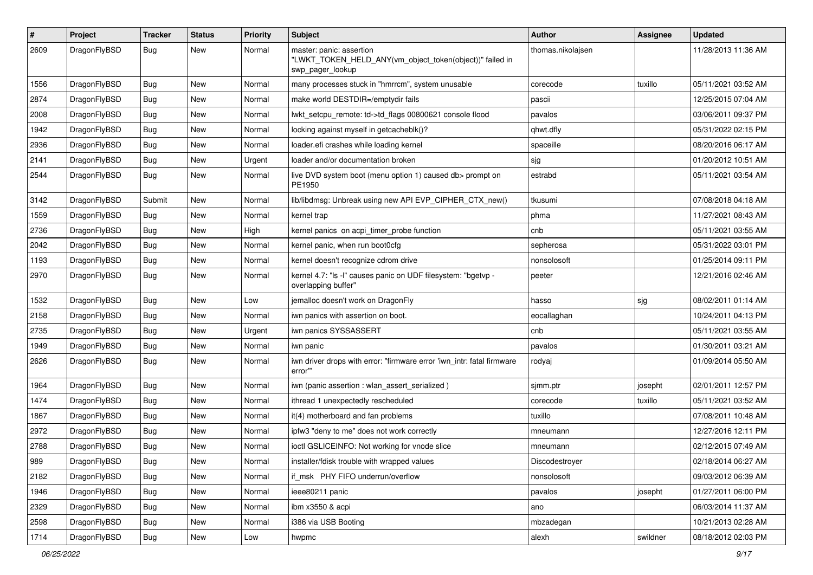| $\sharp$ | Project      | <b>Tracker</b> | <b>Status</b> | <b>Priority</b> | Subject                                                                                                  | <b>Author</b>     | <b>Assignee</b> | <b>Updated</b>      |
|----------|--------------|----------------|---------------|-----------------|----------------------------------------------------------------------------------------------------------|-------------------|-----------------|---------------------|
| 2609     | DragonFlyBSD | Bug            | <b>New</b>    | Normal          | master: panic: assertion<br>"LWKT_TOKEN_HELD_ANY(vm_object_token(object))" failed in<br>swp pager lookup | thomas.nikolajsen |                 | 11/28/2013 11:36 AM |
| 1556     | DragonFlyBSD | <b>Bug</b>     | <b>New</b>    | Normal          | many processes stuck in "hmrrcm", system unusable                                                        | corecode          | tuxillo         | 05/11/2021 03:52 AM |
| 2874     | DragonFlyBSD | Bug            | <b>New</b>    | Normal          | make world DESTDIR=/emptydir fails                                                                       | pascii            |                 | 12/25/2015 07:04 AM |
| 2008     | DragonFlyBSD | Bug            | New           | Normal          | lwkt_setcpu_remote: td->td_flags 00800621 console flood                                                  | pavalos           |                 | 03/06/2011 09:37 PM |
| 1942     | DragonFlyBSD | Bug            | New           | Normal          | locking against myself in getcacheblk()?                                                                 | qhwt.dfly         |                 | 05/31/2022 02:15 PM |
| 2936     | DragonFlyBSD | Bug            | <b>New</b>    | Normal          | loader.efi crashes while loading kernel                                                                  | spaceille         |                 | 08/20/2016 06:17 AM |
| 2141     | DragonFlyBSD | Bug            | New           | Urgent          | loader and/or documentation broken                                                                       | sjg               |                 | 01/20/2012 10:51 AM |
| 2544     | DragonFlyBSD | <b>Bug</b>     | New           | Normal          | live DVD system boot (menu option 1) caused db> prompt on<br>PE1950                                      | estrabd           |                 | 05/11/2021 03:54 AM |
| 3142     | DragonFlyBSD | Submit         | New           | Normal          | lib/libdmsg: Unbreak using new API EVP_CIPHER_CTX_new()                                                  | tkusumi           |                 | 07/08/2018 04:18 AM |
| 1559     | DragonFlyBSD | Bug            | <b>New</b>    | Normal          | kernel trap                                                                                              | phma              |                 | 11/27/2021 08:43 AM |
| 2736     | DragonFlyBSD | Bug            | <b>New</b>    | High            | kernel panics on acpi timer probe function                                                               | cnb               |                 | 05/11/2021 03:55 AM |
| 2042     | DragonFlyBSD | Bug            | New           | Normal          | kernel panic, when run boot0cfg                                                                          | sepherosa         |                 | 05/31/2022 03:01 PM |
| 1193     | DragonFlyBSD | Bug            | <b>New</b>    | Normal          | kernel doesn't recognize cdrom drive                                                                     | nonsolosoft       |                 | 01/25/2014 09:11 PM |
| 2970     | DragonFlyBSD | <b>Bug</b>     | New           | Normal          | kernel 4.7: "Is -I" causes panic on UDF filesystem: "bgetvp -<br>overlapping buffer"                     | peeter            |                 | 12/21/2016 02:46 AM |
| 1532     | DragonFlyBSD | Bug            | <b>New</b>    | Low             | jemalloc doesn't work on DragonFly                                                                       | hasso             | sjg             | 08/02/2011 01:14 AM |
| 2158     | DragonFlyBSD | Bug            | New           | Normal          | iwn panics with assertion on boot.                                                                       | eocallaghan       |                 | 10/24/2011 04:13 PM |
| 2735     | DragonFlyBSD | Bug            | <b>New</b>    | Urgent          | iwn panics SYSSASSERT                                                                                    | cnb               |                 | 05/11/2021 03:55 AM |
| 1949     | DragonFlyBSD | Bug            | New           | Normal          | iwn panic                                                                                                | pavalos           |                 | 01/30/2011 03:21 AM |
| 2626     | DragonFlyBSD | Bug            | <b>New</b>    | Normal          | iwn driver drops with error: "firmware error 'iwn_intr: fatal firmware<br>error""                        | rodyaj            |                 | 01/09/2014 05:50 AM |
| 1964     | DragonFlyBSD | Bug            | <b>New</b>    | Normal          | iwn (panic assertion : wlan_assert_serialized)                                                           | sjmm.ptr          | josepht         | 02/01/2011 12:57 PM |
| 1474     | DragonFlyBSD | Bug            | <b>New</b>    | Normal          | ithread 1 unexpectedly rescheduled                                                                       | corecode          | tuxillo         | 05/11/2021 03:52 AM |
| 1867     | DragonFlyBSD | Bug            | New           | Normal          | it(4) motherboard and fan problems                                                                       | tuxillo           |                 | 07/08/2011 10:48 AM |
| 2972     | DragonFlyBSD | Bug            | New           | Normal          | ipfw3 "deny to me" does not work correctly                                                               | mneumann          |                 | 12/27/2016 12:11 PM |
| 2788     | DragonFlyBSD | <b>Bug</b>     | <b>New</b>    | Normal          | ioctl GSLICEINFO: Not working for vnode slice                                                            | mneumann          |                 | 02/12/2015 07:49 AM |
| 989      | DragonFlyBSD | <b>Bug</b>     | New           | Normal          | installer/fdisk trouble with wrapped values                                                              | Discodestroyer    |                 | 02/18/2014 06:27 AM |
| 2182     | DragonFlyBSD | <b>Bug</b>     | New           | Normal          | if msk PHY FIFO underrun/overflow                                                                        | nonsolosoft       |                 | 09/03/2012 06:39 AM |
| 1946     | DragonFlyBSD | <b>Bug</b>     | New           | Normal          | ieee80211 panic                                                                                          | pavalos           | josepht         | 01/27/2011 06:00 PM |
| 2329     | DragonFlyBSD | <b>Bug</b>     | New           | Normal          | ibm x3550 & acpi                                                                                         | ano               |                 | 06/03/2014 11:37 AM |
| 2598     | DragonFlyBSD | <b>Bug</b>     | New           | Normal          | i386 via USB Booting                                                                                     | mbzadegan         |                 | 10/21/2013 02:28 AM |
| 1714     | DragonFlyBSD | <b>Bug</b>     | New           | Low             | hwpmc                                                                                                    | alexh             | swildner        | 08/18/2012 02:03 PM |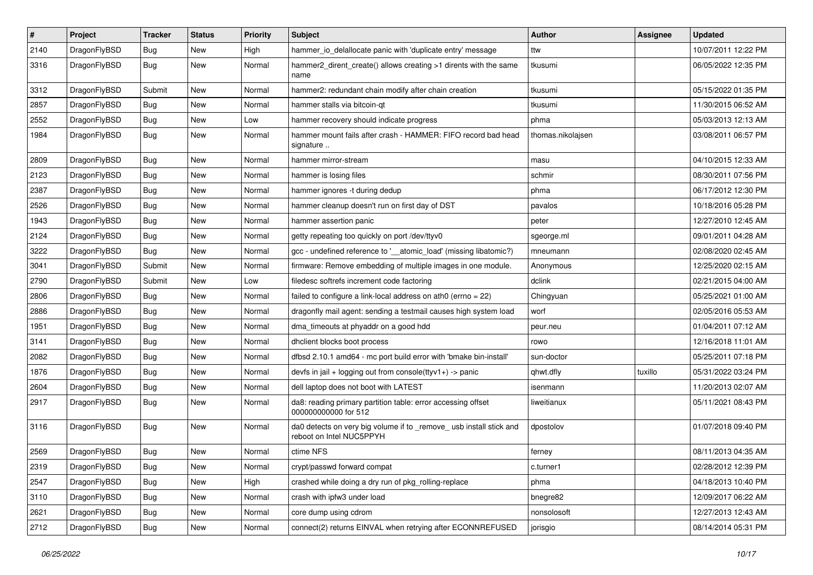| $\sharp$ | Project      | <b>Tracker</b> | <b>Status</b> | <b>Priority</b> | <b>Subject</b>                                                                                | Author            | <b>Assignee</b> | <b>Updated</b>      |
|----------|--------------|----------------|---------------|-----------------|-----------------------------------------------------------------------------------------------|-------------------|-----------------|---------------------|
| 2140     | DragonFlyBSD | Bug            | <b>New</b>    | High            | hammer_io_delallocate panic with 'duplicate entry' message                                    | ttw               |                 | 10/07/2011 12:22 PM |
| 3316     | DragonFlyBSD | Bug            | <b>New</b>    | Normal          | hammer2_dirent_create() allows creating >1 dirents with the same<br>name                      | tkusumi           |                 | 06/05/2022 12:35 PM |
| 3312     | DragonFlyBSD | Submit         | <b>New</b>    | Normal          | hammer2: redundant chain modify after chain creation                                          | tkusumi           |                 | 05/15/2022 01:35 PM |
| 2857     | DragonFlyBSD | Bug            | <b>New</b>    | Normal          | hammer stalls via bitcoin-qt                                                                  | tkusumi           |                 | 11/30/2015 06:52 AM |
| 2552     | DragonFlyBSD | <b>Bug</b>     | <b>New</b>    | Low             | hammer recovery should indicate progress                                                      | phma              |                 | 05/03/2013 12:13 AM |
| 1984     | DragonFlyBSD | <b>Bug</b>     | New           | Normal          | hammer mount fails after crash - HAMMER: FIFO record bad head<br>signature                    | thomas.nikolajsen |                 | 03/08/2011 06:57 PM |
| 2809     | DragonFlyBSD | Bug            | <b>New</b>    | Normal          | hammer mirror-stream                                                                          | masu              |                 | 04/10/2015 12:33 AM |
| 2123     | DragonFlyBSD | <b>Bug</b>     | <b>New</b>    | Normal          | hammer is losing files                                                                        | schmir            |                 | 08/30/2011 07:56 PM |
| 2387     | DragonFlyBSD | Bug            | <b>New</b>    | Normal          | hammer ignores -t during dedup                                                                | phma              |                 | 06/17/2012 12:30 PM |
| 2526     | DragonFlyBSD | Bug            | <b>New</b>    | Normal          | hammer cleanup doesn't run on first day of DST                                                | pavalos           |                 | 10/18/2016 05:28 PM |
| 1943     | DragonFlyBSD | Bug            | <b>New</b>    | Normal          | hammer assertion panic                                                                        | peter             |                 | 12/27/2010 12:45 AM |
| 2124     | DragonFlyBSD | <b>Bug</b>     | <b>New</b>    | Normal          | getty repeating too quickly on port /dev/ttyv0                                                | sgeorge.ml        |                 | 09/01/2011 04:28 AM |
| 3222     | DragonFlyBSD | Bug            | <b>New</b>    | Normal          | gcc - undefined reference to '__atomic_load' (missing libatomic?)                             | mneumann          |                 | 02/08/2020 02:45 AM |
| 3041     | DragonFlyBSD | Submit         | <b>New</b>    | Normal          | firmware: Remove embedding of multiple images in one module.                                  | Anonymous         |                 | 12/25/2020 02:15 AM |
| 2790     | DragonFlyBSD | Submit         | New           | Low             | filedesc softrefs increment code factoring                                                    | dclink            |                 | 02/21/2015 04:00 AM |
| 2806     | DragonFlyBSD | Bug            | <b>New</b>    | Normal          | failed to configure a link-local address on ath0 (errno = 22)                                 | Chingyuan         |                 | 05/25/2021 01:00 AM |
| 2886     | DragonFlyBSD | <b>Bug</b>     | <b>New</b>    | Normal          | dragonfly mail agent: sending a testmail causes high system load                              | worf              |                 | 02/05/2016 05:53 AM |
| 1951     | DragonFlyBSD | Bug            | <b>New</b>    | Normal          | dma_timeouts at phyaddr on a good hdd                                                         | peur.neu          |                 | 01/04/2011 07:12 AM |
| 3141     | DragonFlyBSD | Bug            | New           | Normal          | dhclient blocks boot process                                                                  | rowo              |                 | 12/16/2018 11:01 AM |
| 2082     | DragonFlyBSD | Bug            | <b>New</b>    | Normal          | dfbsd 2.10.1 amd64 - mc port build error with 'bmake bin-install'                             | sun-doctor        |                 | 05/25/2011 07:18 PM |
| 1876     | DragonFlyBSD | Bug            | <b>New</b>    | Normal          | devfs in jail + logging out from console(ttyv1+) -> panic                                     | qhwt.dfly         | tuxillo         | 05/31/2022 03:24 PM |
| 2604     | DragonFlyBSD | Bug            | <b>New</b>    | Normal          | dell laptop does not boot with LATEST                                                         | isenmann          |                 | 11/20/2013 02:07 AM |
| 2917     | DragonFlyBSD | Bug            | New           | Normal          | da8: reading primary partition table: error accessing offset<br>000000000000 for 512          | liweitianux       |                 | 05/11/2021 08:43 PM |
| 3116     | DragonFlyBSD | Bug            | <b>New</b>    | Normal          | da0 detects on very big volume if to remove usb install stick and<br>reboot on Intel NUC5PPYH | dpostolov         |                 | 01/07/2018 09:40 PM |
| 2569     | DragonFlyBSD | <b>Bug</b>     | New           | Normal          | ctime NFS                                                                                     | ferney            |                 | 08/11/2013 04:35 AM |
| 2319     | DragonFlyBSD | <b>Bug</b>     | New           | Normal          | crypt/passwd forward compat                                                                   | c.turner1         |                 | 02/28/2012 12:39 PM |
| 2547     | DragonFlyBSD | <b>Bug</b>     | New           | High            | crashed while doing a dry run of pkg_rolling-replace                                          | phma              |                 | 04/18/2013 10:40 PM |
| 3110     | DragonFlyBSD | <b>Bug</b>     | New           | Normal          | crash with ipfw3 under load                                                                   | bnegre82          |                 | 12/09/2017 06:22 AM |
| 2621     | DragonFlyBSD | Bug            | New           | Normal          | core dump using cdrom                                                                         | nonsolosoft       |                 | 12/27/2013 12:43 AM |
| 2712     | DragonFlyBSD | <b>Bug</b>     | New           | Normal          | connect(2) returns EINVAL when retrying after ECONNREFUSED                                    | jorisgio          |                 | 08/14/2014 05:31 PM |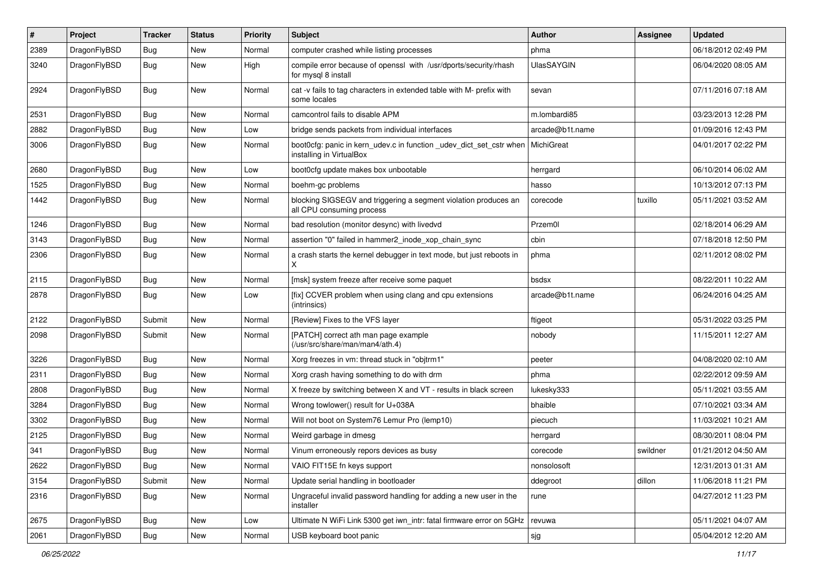| #    | Project      | <b>Tracker</b> | <b>Status</b> | <b>Priority</b> | Subject                                                                                         | Author            | Assignee | <b>Updated</b>      |
|------|--------------|----------------|---------------|-----------------|-------------------------------------------------------------------------------------------------|-------------------|----------|---------------------|
| 2389 | DragonFlyBSD | Bug            | <b>New</b>    | Normal          | computer crashed while listing processes                                                        | phma              |          | 06/18/2012 02:49 PM |
| 3240 | DragonFlyBSD | Bug            | <b>New</b>    | High            | compile error because of openssl with /usr/dports/security/rhash<br>for mysql 8 install         | <b>UlasSAYGIN</b> |          | 06/04/2020 08:05 AM |
| 2924 | DragonFlyBSD | <b>Bug</b>     | <b>New</b>    | Normal          | cat -v fails to tag characters in extended table with M- prefix with<br>some locales            | sevan             |          | 07/11/2016 07:18 AM |
| 2531 | DragonFlyBSD | Bug            | <b>New</b>    | Normal          | camcontrol fails to disable APM                                                                 | m.lombardi85      |          | 03/23/2013 12:28 PM |
| 2882 | DragonFlyBSD | Bug            | <b>New</b>    | Low             | bridge sends packets from individual interfaces                                                 | arcade@b1t.name   |          | 01/09/2016 12:43 PM |
| 3006 | DragonFlyBSD | Bug            | New           | Normal          | boot0cfg: panic in kern_udev.c in function _udev_dict_set_cstr when<br>installing in VirtualBox | MichiGreat        |          | 04/01/2017 02:22 PM |
| 2680 | DragonFlyBSD | Bug            | <b>New</b>    | Low             | boot0cfg update makes box unbootable                                                            | herrgard          |          | 06/10/2014 06:02 AM |
| 1525 | DragonFlyBSD | Bug            | <b>New</b>    | Normal          | boehm-gc problems                                                                               | hasso             |          | 10/13/2012 07:13 PM |
| 1442 | DragonFlyBSD | Bug            | <b>New</b>    | Normal          | blocking SIGSEGV and triggering a segment violation produces an<br>all CPU consuming process    | corecode          | tuxillo  | 05/11/2021 03:52 AM |
| 1246 | DragonFlyBSD | Bug            | <b>New</b>    | Normal          | bad resolution (monitor desync) with livedvd                                                    | Przem0l           |          | 02/18/2014 06:29 AM |
| 3143 | DragonFlyBSD | Bug            | <b>New</b>    | Normal          | assertion "0" failed in hammer2_inode_xop_chain_sync                                            | cbin              |          | 07/18/2018 12:50 PM |
| 2306 | DragonFlyBSD | Bug            | <b>New</b>    | Normal          | a crash starts the kernel debugger in text mode, but just reboots in<br>X                       | phma              |          | 02/11/2012 08:02 PM |
| 2115 | DragonFlyBSD | Bug            | <b>New</b>    | Normal          | [msk] system freeze after receive some paquet                                                   | bsdsx             |          | 08/22/2011 10:22 AM |
| 2878 | DragonFlyBSD | Bug            | <b>New</b>    | Low             | [fix] CCVER problem when using clang and cpu extensions<br>(intrinsics)                         | arcade@b1t.name   |          | 06/24/2016 04:25 AM |
| 2122 | DragonFlyBSD | Submit         | <b>New</b>    | Normal          | [Review] Fixes to the VFS layer                                                                 | ftigeot           |          | 05/31/2022 03:25 PM |
| 2098 | DragonFlyBSD | Submit         | New           | Normal          | [PATCH] correct ath man page example<br>(/usr/src/share/man/man4/ath.4)                         | nobody            |          | 11/15/2011 12:27 AM |
| 3226 | DragonFlyBSD | Bug            | <b>New</b>    | Normal          | Xorg freezes in vm: thread stuck in "objtrm1"                                                   | peeter            |          | 04/08/2020 02:10 AM |
| 2311 | DragonFlyBSD | Bug            | <b>New</b>    | Normal          | Xorg crash having something to do with drm                                                      | phma              |          | 02/22/2012 09:59 AM |
| 2808 | DragonFlyBSD | Bug            | <b>New</b>    | Normal          | X freeze by switching between X and VT - results in black screen                                | lukesky333        |          | 05/11/2021 03:55 AM |
| 3284 | DragonFlyBSD | Bug            | <b>New</b>    | Normal          | Wrong towlower() result for U+038A                                                              | bhaible           |          | 07/10/2021 03:34 AM |
| 3302 | DragonFlyBSD | <b>Bug</b>     | New           | Normal          | Will not boot on System76 Lemur Pro (lemp10)                                                    | piecuch           |          | 11/03/2021 10:21 AM |
| 2125 | DragonFlyBSD | Bug            | <b>New</b>    | Normal          | Weird garbage in dmesg                                                                          | herrgard          |          | 08/30/2011 08:04 PM |
| 341  | DragonFlyBSD | Bug            | <b>New</b>    | Normal          | Vinum erroneously repors devices as busy                                                        | corecode          | swildner | 01/21/2012 04:50 AM |
| 2622 | DragonFlyBSD | Bug            | <b>New</b>    | Normal          | VAIO FIT15E fn keys support                                                                     | nonsolosoft       |          | 12/31/2013 01:31 AM |
| 3154 | DragonFlyBSD | Submit         | New           | Normal          | Update serial handling in bootloader                                                            | ddegroot          | dillon   | 11/06/2018 11:21 PM |
| 2316 | DragonFlyBSD | Bug            | New           | Normal          | Ungraceful invalid password handling for adding a new user in the<br>installer                  | rune              |          | 04/27/2012 11:23 PM |
| 2675 | DragonFlyBSD | Bug            | New           | Low             | Ultimate N WiFi Link 5300 get iwn_intr: fatal firmware error on 5GHz                            | revuwa            |          | 05/11/2021 04:07 AM |
| 2061 | DragonFlyBSD | <b>Bug</b>     | New           | Normal          | USB keyboard boot panic                                                                         | sjg               |          | 05/04/2012 12:20 AM |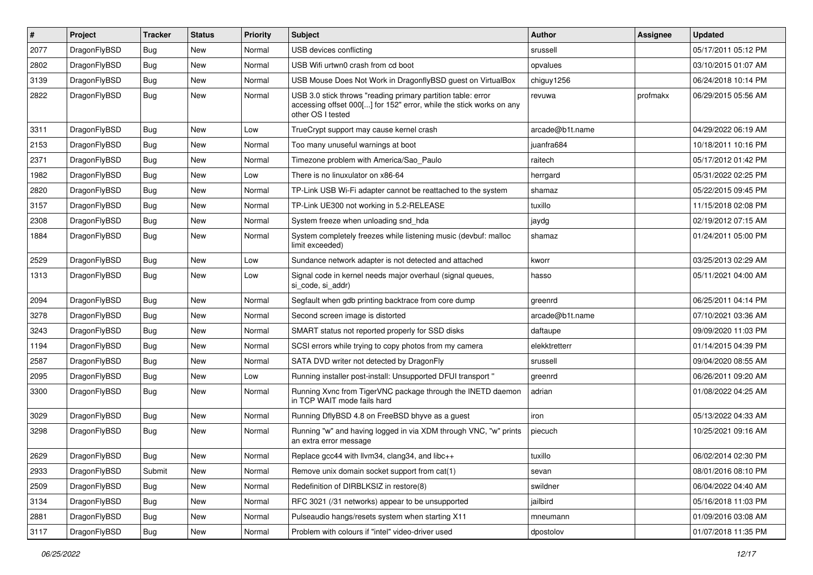| $\sharp$ | Project      | <b>Tracker</b> | <b>Status</b> | <b>Priority</b> | <b>Subject</b>                                                                                                                                           | Author          | Assignee | <b>Updated</b>      |
|----------|--------------|----------------|---------------|-----------------|----------------------------------------------------------------------------------------------------------------------------------------------------------|-----------------|----------|---------------------|
| 2077     | DragonFlyBSD | Bug            | <b>New</b>    | Normal          | USB devices conflicting                                                                                                                                  | srussell        |          | 05/17/2011 05:12 PM |
| 2802     | DragonFlyBSD | Bug            | <b>New</b>    | Normal          | USB Wifi urtwn0 crash from cd boot                                                                                                                       | opvalues        |          | 03/10/2015 01:07 AM |
| 3139     | DragonFlyBSD | <b>Bug</b>     | New           | Normal          | USB Mouse Does Not Work in DragonflyBSD guest on VirtualBox                                                                                              | chiguy1256      |          | 06/24/2018 10:14 PM |
| 2822     | DragonFlyBSD | Bug            | New           | Normal          | USB 3.0 stick throws "reading primary partition table: error<br>accessing offset 000[] for 152" error, while the stick works on any<br>other OS I tested | revuwa          | profmakx | 06/29/2015 05:56 AM |
| 3311     | DragonFlyBSD | <b>Bug</b>     | <b>New</b>    | Low             | TrueCrypt support may cause kernel crash                                                                                                                 | arcade@b1t.name |          | 04/29/2022 06:19 AM |
| 2153     | DragonFlyBSD | Bug            | New           | Normal          | Too many unuseful warnings at boot                                                                                                                       | juanfra684      |          | 10/18/2011 10:16 PM |
| 2371     | DragonFlyBSD | Bug            | <b>New</b>    | Normal          | Timezone problem with America/Sao Paulo                                                                                                                  | raitech         |          | 05/17/2012 01:42 PM |
| 1982     | DragonFlyBSD | Bug            | <b>New</b>    | Low             | There is no linuxulator on x86-64                                                                                                                        | herrgard        |          | 05/31/2022 02:25 PM |
| 2820     | DragonFlyBSD | Bug            | <b>New</b>    | Normal          | TP-Link USB Wi-Fi adapter cannot be reattached to the system                                                                                             | shamaz          |          | 05/22/2015 09:45 PM |
| 3157     | DragonFlyBSD | Bug            | <b>New</b>    | Normal          | TP-Link UE300 not working in 5.2-RELEASE                                                                                                                 | tuxillo         |          | 11/15/2018 02:08 PM |
| 2308     | DragonFlyBSD | Bug            | New           | Normal          | System freeze when unloading snd hda                                                                                                                     | jaydg           |          | 02/19/2012 07:15 AM |
| 1884     | DragonFlyBSD | Bug            | New           | Normal          | System completely freezes while listening music (devbuf: malloc<br>limit exceeded)                                                                       | shamaz          |          | 01/24/2011 05:00 PM |
| 2529     | DragonFlyBSD | Bug            | <b>New</b>    | Low             | Sundance network adapter is not detected and attached                                                                                                    | kworr           |          | 03/25/2013 02:29 AM |
| 1313     | DragonFlyBSD | Bug            | New           | Low             | Signal code in kernel needs major overhaul (signal queues,<br>si code, si addr)                                                                          | hasso           |          | 05/11/2021 04:00 AM |
| 2094     | DragonFlyBSD | Bug            | <b>New</b>    | Normal          | Segfault when gdb printing backtrace from core dump                                                                                                      | greenrd         |          | 06/25/2011 04:14 PM |
| 3278     | DragonFlyBSD | Bug            | New           | Normal          | Second screen image is distorted                                                                                                                         | arcade@b1t.name |          | 07/10/2021 03:36 AM |
| 3243     | DragonFlyBSD | Bug            | <b>New</b>    | Normal          | SMART status not reported properly for SSD disks                                                                                                         | daftaupe        |          | 09/09/2020 11:03 PM |
| 1194     | DragonFlyBSD | Bug            | <b>New</b>    | Normal          | SCSI errors while trying to copy photos from my camera                                                                                                   | elekktretterr   |          | 01/14/2015 04:39 PM |
| 2587     | DragonFlyBSD | Bug            | <b>New</b>    | Normal          | SATA DVD writer not detected by DragonFly                                                                                                                | srussell        |          | 09/04/2020 08:55 AM |
| 2095     | DragonFlyBSD | Bug            | New           | Low             | Running installer post-install: Unsupported DFUI transport "                                                                                             | greenrd         |          | 06/26/2011 09:20 AM |
| 3300     | DragonFlyBSD | Bug            | New           | Normal          | Running Xvnc from TigerVNC package through the INETD daemon<br>in TCP WAIT mode fails hard                                                               | adrian          |          | 01/08/2022 04:25 AM |
| 3029     | DragonFlyBSD | Bug            | <b>New</b>    | Normal          | Running DflyBSD 4.8 on FreeBSD bhyve as a guest                                                                                                          | iron            |          | 05/13/2022 04:33 AM |
| 3298     | DragonFlyBSD | Bug            | New           | Normal          | Running "w" and having logged in via XDM through VNC, "w" prints<br>an extra error message                                                               | piecuch         |          | 10/25/2021 09:16 AM |
| 2629     | DragonFlyBSD | <b>Bug</b>     | New           | Normal          | Replace gcc44 with llvm34, clang34, and libc++                                                                                                           | tuxillo         |          | 06/02/2014 02:30 PM |
| 2933     | DragonFlyBSD | Submit         | New           | Normal          | Remove unix domain socket support from cat(1)                                                                                                            | sevan           |          | 08/01/2016 08:10 PM |
| 2509     | DragonFlyBSD | <b>Bug</b>     | New           | Normal          | Redefinition of DIRBLKSIZ in restore(8)                                                                                                                  | swildner        |          | 06/04/2022 04:40 AM |
| 3134     | DragonFlyBSD | <b>Bug</b>     | New           | Normal          | RFC 3021 (/31 networks) appear to be unsupported                                                                                                         | jailbird        |          | 05/16/2018 11:03 PM |
| 2881     | DragonFlyBSD | <b>Bug</b>     | New           | Normal          | Pulseaudio hangs/resets system when starting X11                                                                                                         | mneumann        |          | 01/09/2016 03:08 AM |
| 3117     | DragonFlyBSD | <b>Bug</b>     | New           | Normal          | Problem with colours if "intel" video-driver used                                                                                                        | dpostolov       |          | 01/07/2018 11:35 PM |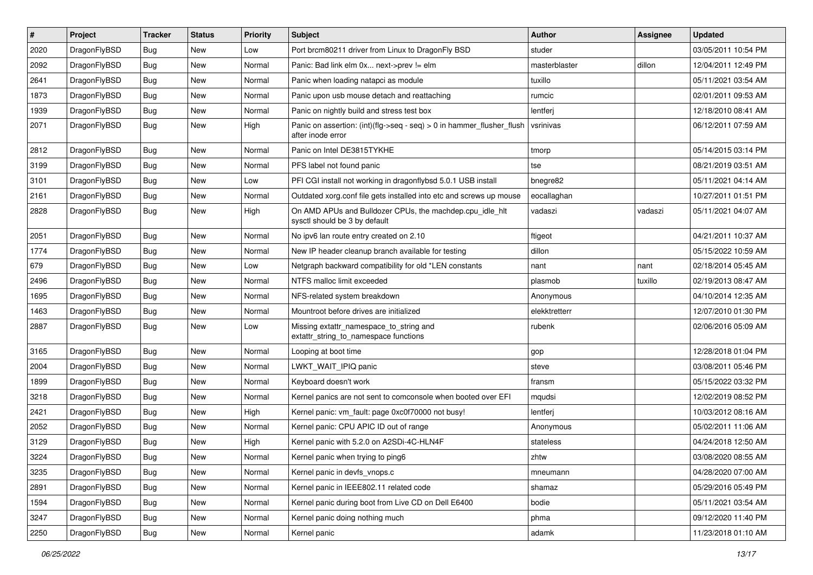| $\vert$ # | Project      | <b>Tracker</b> | <b>Status</b> | <b>Priority</b> | <b>Subject</b>                                                                                | Author        | Assignee | <b>Updated</b>      |
|-----------|--------------|----------------|---------------|-----------------|-----------------------------------------------------------------------------------------------|---------------|----------|---------------------|
| 2020      | DragonFlyBSD | Bug            | <b>New</b>    | Low             | Port brcm80211 driver from Linux to DragonFly BSD                                             | studer        |          | 03/05/2011 10:54 PM |
| 2092      | DragonFlyBSD | <b>Bug</b>     | <b>New</b>    | Normal          | Panic: Bad link elm 0x next->prev != elm                                                      | masterblaster | dillon   | 12/04/2011 12:49 PM |
| 2641      | DragonFlyBSD | <b>Bug</b>     | <b>New</b>    | Normal          | Panic when loading natapci as module                                                          | tuxillo       |          | 05/11/2021 03:54 AM |
| 1873      | DragonFlyBSD | Bug            | <b>New</b>    | Normal          | Panic upon usb mouse detach and reattaching                                                   | rumcic        |          | 02/01/2011 09:53 AM |
| 1939      | DragonFlyBSD | Bug            | <b>New</b>    | Normal          | Panic on nightly build and stress test box                                                    | lentferj      |          | 12/18/2010 08:41 AM |
| 2071      | DragonFlyBSD | Bug            | New           | High            | Panic on assertion: $(int)(flag->seq - seq) > 0$ in hammer flusher flush<br>after inode error | vsrinivas     |          | 06/12/2011 07:59 AM |
| 2812      | DragonFlyBSD | Bug            | <b>New</b>    | Normal          | Panic on Intel DE3815TYKHE                                                                    | tmorp         |          | 05/14/2015 03:14 PM |
| 3199      | DragonFlyBSD | Bug            | <b>New</b>    | Normal          | PFS label not found panic                                                                     | tse           |          | 08/21/2019 03:51 AM |
| 3101      | DragonFlyBSD | Bug            | <b>New</b>    | Low             | PFI CGI install not working in dragonflybsd 5.0.1 USB install                                 | bnegre82      |          | 05/11/2021 04:14 AM |
| 2161      | DragonFlyBSD | <b>Bug</b>     | <b>New</b>    | Normal          | Outdated xorg.conf file gets installed into etc and screws up mouse                           | eocallaghan   |          | 10/27/2011 01:51 PM |
| 2828      | DragonFlyBSD | Bug            | <b>New</b>    | High            | On AMD APUs and Bulldozer CPUs, the machdep.cpu_idle_hlt<br>sysctl should be 3 by default     | vadaszi       | vadaszi  | 05/11/2021 04:07 AM |
| 2051      | DragonFlyBSD | Bug            | New           | Normal          | No ipv6 lan route entry created on 2.10                                                       | ftigeot       |          | 04/21/2011 10:37 AM |
| 1774      | DragonFlyBSD | Bug            | <b>New</b>    | Normal          | New IP header cleanup branch available for testing                                            | dillon        |          | 05/15/2022 10:59 AM |
| 679       | DragonFlyBSD | Bug            | <b>New</b>    | Low             | Netgraph backward compatibility for old *LEN constants                                        | nant          | nant     | 02/18/2014 05:45 AM |
| 2496      | DragonFlyBSD | Bug            | <b>New</b>    | Normal          | NTFS malloc limit exceeded                                                                    | plasmob       | tuxillo  | 02/19/2013 08:47 AM |
| 1695      | DragonFlyBSD | Bug            | <b>New</b>    | Normal          | NFS-related system breakdown                                                                  | Anonymous     |          | 04/10/2014 12:35 AM |
| 1463      | DragonFlyBSD | <b>Bug</b>     | <b>New</b>    | Normal          | Mountroot before drives are initialized                                                       | elekktretterr |          | 12/07/2010 01:30 PM |
| 2887      | DragonFlyBSD | Bug            | <b>New</b>    | Low             | Missing extattr_namespace_to_string and<br>extattr_string_to_namespace functions              | rubenk        |          | 02/06/2016 05:09 AM |
| 3165      | DragonFlyBSD | Bug            | <b>New</b>    | Normal          | Looping at boot time                                                                          | gop           |          | 12/28/2018 01:04 PM |
| 2004      | DragonFlyBSD | <b>Bug</b>     | <b>New</b>    | Normal          | LWKT WAIT IPIQ panic                                                                          | steve         |          | 03/08/2011 05:46 PM |
| 1899      | DragonFlyBSD | Bug            | <b>New</b>    | Normal          | Keyboard doesn't work                                                                         | fransm        |          | 05/15/2022 03:32 PM |
| 3218      | DragonFlyBSD | Bug            | <b>New</b>    | Normal          | Kernel panics are not sent to comconsole when booted over EFI                                 | mqudsi        |          | 12/02/2019 08:52 PM |
| 2421      | DragonFlyBSD | Bug            | <b>New</b>    | High            | Kernel panic: vm fault: page 0xc0f70000 not busy!                                             | lentferj      |          | 10/03/2012 08:16 AM |
| 2052      | DragonFlyBSD | <b>Bug</b>     | New           | Normal          | Kernel panic: CPU APIC ID out of range                                                        | Anonymous     |          | 05/02/2011 11:06 AM |
| 3129      | DragonFlyBSD | Bug            | <b>New</b>    | High            | Kernel panic with 5.2.0 on A2SDi-4C-HLN4F                                                     | stateless     |          | 04/24/2018 12:50 AM |
| 3224      | DragonFlyBSD | Bug            | <b>New</b>    | Normal          | Kernel panic when trying to ping6                                                             | zhtw          |          | 03/08/2020 08:55 AM |
| 3235      | DragonFlyBSD | Bug            | <b>New</b>    | Normal          | Kernel panic in devfs vnops.c                                                                 | mneumann      |          | 04/28/2020 07:00 AM |
| 2891      | DragonFlyBSD | Bug            | New           | Normal          | Kernel panic in IEEE802.11 related code                                                       | shamaz        |          | 05/29/2016 05:49 PM |
| 1594      | DragonFlyBSD | Bug            | New           | Normal          | Kernel panic during boot from Live CD on Dell E6400                                           | bodie         |          | 05/11/2021 03:54 AM |
| 3247      | DragonFlyBSD | Bug            | New           | Normal          | Kernel panic doing nothing much                                                               | phma          |          | 09/12/2020 11:40 PM |
| 2250      | DragonFlyBSD | Bug            | New           | Normal          | Kernel panic                                                                                  | adamk         |          | 11/23/2018 01:10 AM |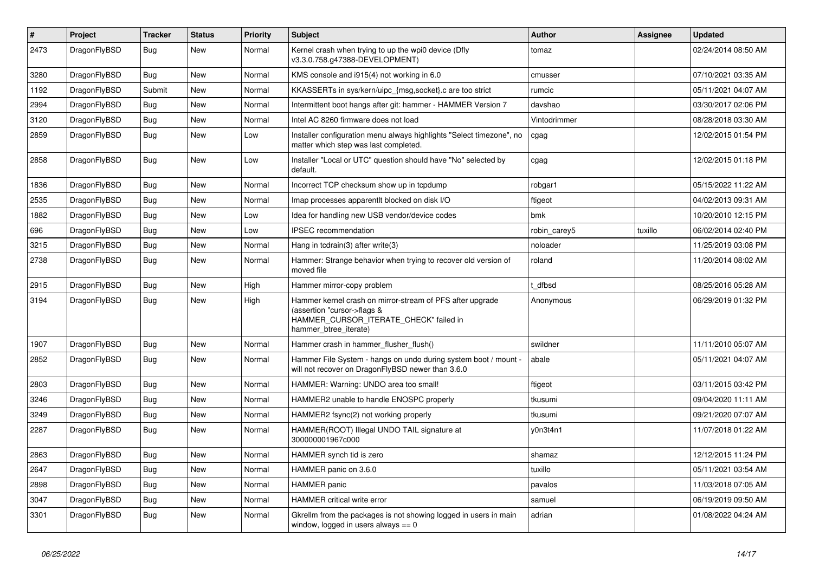| $\vert$ # | Project      | <b>Tracker</b> | <b>Status</b> | <b>Priority</b> | <b>Subject</b>                                                                                                                                              | <b>Author</b> | <b>Assignee</b> | <b>Updated</b>      |
|-----------|--------------|----------------|---------------|-----------------|-------------------------------------------------------------------------------------------------------------------------------------------------------------|---------------|-----------------|---------------------|
| 2473      | DragonFlyBSD | Bug            | New           | Normal          | Kernel crash when trying to up the wpi0 device (Dfly<br>v3.3.0.758.g47388-DEVELOPMENT)                                                                      | tomaz         |                 | 02/24/2014 08:50 AM |
| 3280      | DragonFlyBSD | Bug            | New           | Normal          | KMS console and i915(4) not working in 6.0                                                                                                                  | cmusser       |                 | 07/10/2021 03:35 AM |
| 1192      | DragonFlyBSD | Submit         | <b>New</b>    | Normal          | KKASSERTs in sys/kern/uipc {msg,socket} c are too strict                                                                                                    | rumcic        |                 | 05/11/2021 04:07 AM |
| 2994      | DragonFlyBSD | <b>Bug</b>     | <b>New</b>    | Normal          | Intermittent boot hangs after git: hammer - HAMMER Version 7                                                                                                | davshao       |                 | 03/30/2017 02:06 PM |
| 3120      | DragonFlyBSD | <b>Bug</b>     | <b>New</b>    | Normal          | Intel AC 8260 firmware does not load                                                                                                                        | Vintodrimmer  |                 | 08/28/2018 03:30 AM |
| 2859      | DragonFlyBSD | Bug            | <b>New</b>    | Low             | Installer configuration menu always highlights "Select timezone", no<br>matter which step was last completed.                                               | cgag          |                 | 12/02/2015 01:54 PM |
| 2858      | DragonFlyBSD | Bug            | New           | Low             | Installer "Local or UTC" question should have "No" selected by<br>default.                                                                                  | cgag          |                 | 12/02/2015 01:18 PM |
| 1836      | DragonFlyBSD | <b>Bug</b>     | <b>New</b>    | Normal          | Incorrect TCP checksum show up in tcpdump                                                                                                                   | robgar1       |                 | 05/15/2022 11:22 AM |
| 2535      | DragonFlyBSD | Bug            | <b>New</b>    | Normal          | Imap processes apparentlt blocked on disk I/O                                                                                                               | ftigeot       |                 | 04/02/2013 09:31 AM |
| 1882      | DragonFlyBSD | Bug            | <b>New</b>    | Low             | Idea for handling new USB vendor/device codes                                                                                                               | bmk           |                 | 10/20/2010 12:15 PM |
| 696       | DragonFlyBSD | Bug            | New           | Low             | <b>IPSEC</b> recommendation                                                                                                                                 | robin_carey5  | tuxillo         | 06/02/2014 02:40 PM |
| 3215      | DragonFlyBSD | Bug            | <b>New</b>    | Normal          | Hang in tcdrain(3) after write(3)                                                                                                                           | noloader      |                 | 11/25/2019 03:08 PM |
| 2738      | DragonFlyBSD | Bug            | New           | Normal          | Hammer: Strange behavior when trying to recover old version of<br>moved file                                                                                | roland        |                 | 11/20/2014 08:02 AM |
| 2915      | DragonFlyBSD | <b>Bug</b>     | <b>New</b>    | High            | Hammer mirror-copy problem                                                                                                                                  | t dfbsd       |                 | 08/25/2016 05:28 AM |
| 3194      | DragonFlyBSD | Bug            | <b>New</b>    | High            | Hammer kernel crash on mirror-stream of PFS after upgrade<br>(assertion "cursor->flags &<br>HAMMER_CURSOR_ITERATE_CHECK" failed in<br>hammer_btree_iterate) | Anonymous     |                 | 06/29/2019 01:32 PM |
| 1907      | DragonFlyBSD | Bug            | <b>New</b>    | Normal          | Hammer crash in hammer flusher flush()                                                                                                                      | swildner      |                 | 11/11/2010 05:07 AM |
| 2852      | DragonFlyBSD | Bug            | <b>New</b>    | Normal          | Hammer File System - hangs on undo during system boot / mount -<br>will not recover on DragonFlyBSD newer than 3.6.0                                        | abale         |                 | 05/11/2021 04:07 AM |
| 2803      | DragonFlyBSD | Bug            | <b>New</b>    | Normal          | HAMMER: Warning: UNDO area too small!                                                                                                                       | ftigeot       |                 | 03/11/2015 03:42 PM |
| 3246      | DragonFlyBSD | Bug            | <b>New</b>    | Normal          | HAMMER2 unable to handle ENOSPC properly                                                                                                                    | tkusumi       |                 | 09/04/2020 11:11 AM |
| 3249      | DragonFlyBSD | Bug            | <b>New</b>    | Normal          | HAMMER2 fsync(2) not working properly                                                                                                                       | tkusumi       |                 | 09/21/2020 07:07 AM |
| 2287      | DragonFlyBSD | <b>Bug</b>     | New           | Normal          | HAMMER(ROOT) Illegal UNDO TAIL signature at<br>300000001967c000                                                                                             | y0n3t4n1      |                 | 11/07/2018 01:22 AM |
| 2863      | DragonFlyBSD | Bug            | <b>New</b>    | Normal          | HAMMER synch tid is zero                                                                                                                                    | shamaz        |                 | 12/12/2015 11:24 PM |
| 2647      | DragonFlyBSD | Bug            | <b>New</b>    | Normal          | HAMMER panic on 3.6.0                                                                                                                                       | tuxillo       |                 | 05/11/2021 03:54 AM |
| 2898      | DragonFlyBSD | Bug            | <b>New</b>    | Normal          | <b>HAMMER</b> panic                                                                                                                                         | pavalos       |                 | 11/03/2018 07:05 AM |
| 3047      | DragonFlyBSD | Bug            | New           | Normal          | <b>HAMMER critical write error</b>                                                                                                                          | samuel        |                 | 06/19/2019 09:50 AM |
| 3301      | DragonFlyBSD | <b>Bug</b>     | New           | Normal          | Gkrellm from the packages is not showing logged in users in main<br>window, logged in users always $== 0$                                                   | adrian        |                 | 01/08/2022 04:24 AM |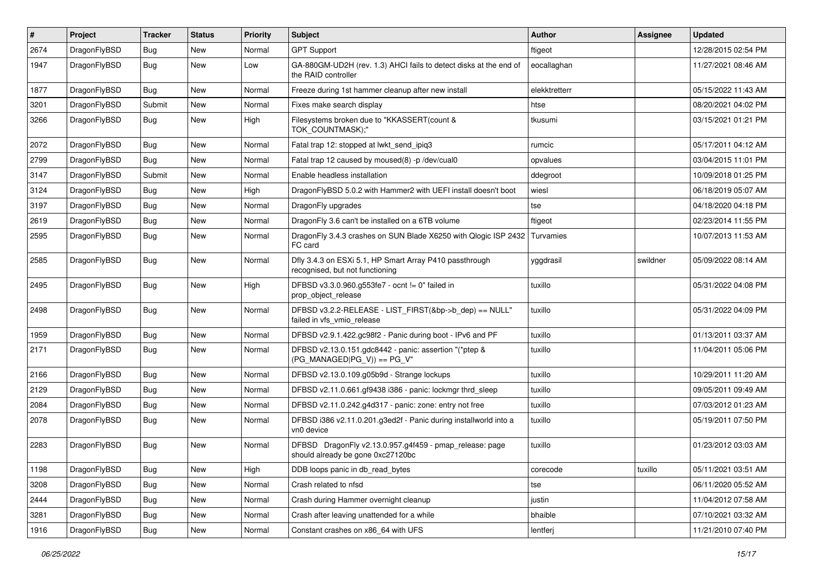| $\sharp$ | Project      | <b>Tracker</b> | <b>Status</b> | <b>Priority</b> | <b>Subject</b>                                                                               | Author        | Assignee | <b>Updated</b>      |
|----------|--------------|----------------|---------------|-----------------|----------------------------------------------------------------------------------------------|---------------|----------|---------------------|
| 2674     | DragonFlyBSD | Bug            | <b>New</b>    | Normal          | <b>GPT Support</b>                                                                           | ftigeot       |          | 12/28/2015 02:54 PM |
| 1947     | DragonFlyBSD | <b>Bug</b>     | New           | Low             | GA-880GM-UD2H (rev. 1.3) AHCI fails to detect disks at the end of<br>the RAID controller     | eocallaghan   |          | 11/27/2021 08:46 AM |
| 1877     | DragonFlyBSD | Bug            | <b>New</b>    | Normal          | Freeze during 1st hammer cleanup after new install                                           | elekktretterr |          | 05/15/2022 11:43 AM |
| 3201     | DragonFlyBSD | Submit         | <b>New</b>    | Normal          | Fixes make search display                                                                    | htse          |          | 08/20/2021 04:02 PM |
| 3266     | DragonFlyBSD | Bug            | New           | High            | Filesystems broken due to "KKASSERT(count &<br>TOK_COUNTMASK);"                              | tkusumi       |          | 03/15/2021 01:21 PM |
| 2072     | DragonFlyBSD | Bug            | <b>New</b>    | Normal          | Fatal trap 12: stopped at lwkt send ipig3                                                    | rumcic        |          | 05/17/2011 04:12 AM |
| 2799     | DragonFlyBSD | Bug            | <b>New</b>    | Normal          | Fatal trap 12 caused by moused(8) -p /dev/cual0                                              | opvalues      |          | 03/04/2015 11:01 PM |
| 3147     | DragonFlyBSD | Submit         | <b>New</b>    | Normal          | Enable headless installation                                                                 | ddegroot      |          | 10/09/2018 01:25 PM |
| 3124     | DragonFlyBSD | Bug            | <b>New</b>    | High            | DragonFlyBSD 5.0.2 with Hammer2 with UEFI install doesn't boot                               | wiesl         |          | 06/18/2019 05:07 AM |
| 3197     | DragonFlyBSD | Bug            | <b>New</b>    | Normal          | DragonFly upgrades                                                                           | tse           |          | 04/18/2020 04:18 PM |
| 2619     | DragonFlyBSD | Bug            | New           | Normal          | DragonFly 3.6 can't be installed on a 6TB volume                                             | ftigeot       |          | 02/23/2014 11:55 PM |
| 2595     | DragonFlyBSD | Bug            | New           | Normal          | DragonFly 3.4.3 crashes on SUN Blade X6250 with Qlogic ISP 2432<br>FC card                   | Turvamies     |          | 10/07/2013 11:53 AM |
| 2585     | DragonFlyBSD | Bug            | <b>New</b>    | Normal          | Dfly 3.4.3 on ESXi 5.1, HP Smart Array P410 passthrough<br>recognised, but not functioning   | yggdrasil     | swildner | 05/09/2022 08:14 AM |
| 2495     | DragonFlyBSD | Bug            | New           | High            | DFBSD v3.3.0.960.g553fe7 - ocnt != 0" failed in<br>prop_object_release                       | tuxillo       |          | 05/31/2022 04:08 PM |
| 2498     | DragonFlyBSD | Bug            | <b>New</b>    | Normal          | DFBSD v3.2.2-RELEASE - LIST_FIRST(&bp->b_dep) == NULL"<br>failed in vfs vmio release         | tuxillo       |          | 05/31/2022 04:09 PM |
| 1959     | DragonFlyBSD | Bug            | <b>New</b>    | Normal          | DFBSD v2.9.1.422.gc98f2 - Panic during boot - IPv6 and PF                                    | tuxillo       |          | 01/13/2011 03:37 AM |
| 2171     | DragonFlyBSD | Bug            | New           | Normal          | DFBSD v2.13.0.151.gdc8442 - panic: assertion "(*ptep &<br>$(PG_MANAGED PG_V)) == PG_V"$      | tuxillo       |          | 11/04/2011 05:06 PM |
| 2166     | DragonFlyBSD | Bug            | <b>New</b>    | Normal          | DFBSD v2.13.0.109.g05b9d - Strange lockups                                                   | tuxillo       |          | 10/29/2011 11:20 AM |
| 2129     | DragonFlyBSD | Bug            | <b>New</b>    | Normal          | DFBSD v2.11.0.661.gf9438 i386 - panic: lockmgr thrd_sleep                                    | tuxillo       |          | 09/05/2011 09:49 AM |
| 2084     | DragonFlyBSD | Bug            | New           | Normal          | DFBSD v2.11.0.242.g4d317 - panic: zone: entry not free                                       | tuxillo       |          | 07/03/2012 01:23 AM |
| 2078     | DragonFlyBSD | Bug            | New           | Normal          | DFBSD i386 v2.11.0.201.g3ed2f - Panic during installworld into a<br>vn0 device               | tuxillo       |          | 05/19/2011 07:50 PM |
| 2283     | DragonFlyBSD | Bug            | <b>New</b>    | Normal          | DFBSD DragonFly v2.13.0.957.g4f459 - pmap_release: page<br>should already be gone 0xc27120bc | tuxillo       |          | 01/23/2012 03:03 AM |
| 1198     | DragonFlyBSD | <b>Bug</b>     | New           | High            | DDB loops panic in db_read_bytes                                                             | corecode      | tuxillo  | 05/11/2021 03:51 AM |
| 3208     | DragonFlyBSD | Bug            | New           | Normal          | Crash related to nfsd                                                                        | tse           |          | 06/11/2020 05:52 AM |
| 2444     | DragonFlyBSD | <b>Bug</b>     | New           | Normal          | Crash during Hammer overnight cleanup                                                        | justin        |          | 11/04/2012 07:58 AM |
| 3281     | DragonFlyBSD | <b>Bug</b>     | New           | Normal          | Crash after leaving unattended for a while                                                   | bhaible       |          | 07/10/2021 03:32 AM |
| 1916     | DragonFlyBSD | <b>Bug</b>     | New           | Normal          | Constant crashes on x86_64 with UFS                                                          | lentferj      |          | 11/21/2010 07:40 PM |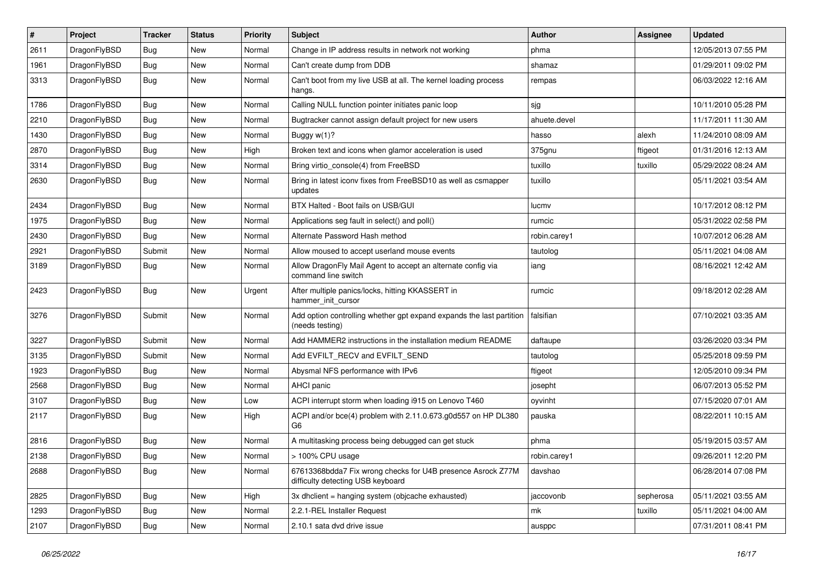| #    | Project      | <b>Tracker</b> | <b>Status</b> | <b>Priority</b> | Subject                                                                                          | <b>Author</b> | Assignee  | <b>Updated</b>      |
|------|--------------|----------------|---------------|-----------------|--------------------------------------------------------------------------------------------------|---------------|-----------|---------------------|
| 2611 | DragonFlyBSD | Bug            | New           | Normal          | Change in IP address results in network not working                                              | phma          |           | 12/05/2013 07:55 PM |
| 1961 | DragonFlyBSD | <b>Bug</b>     | <b>New</b>    | Normal          | Can't create dump from DDB                                                                       | shamaz        |           | 01/29/2011 09:02 PM |
| 3313 | DragonFlyBSD | Bug            | <b>New</b>    | Normal          | Can't boot from my live USB at all. The kernel loading process<br>hangs.                         | rempas        |           | 06/03/2022 12:16 AM |
| 1786 | DragonFlyBSD | Bug            | <b>New</b>    | Normal          | Calling NULL function pointer initiates panic loop                                               | sjg           |           | 10/11/2010 05:28 PM |
| 2210 | DragonFlyBSD | Bug            | <b>New</b>    | Normal          | Bugtracker cannot assign default project for new users                                           | ahuete.devel  |           | 11/17/2011 11:30 AM |
| 1430 | DragonFlyBSD | Bug            | <b>New</b>    | Normal          | Buggy w(1)?                                                                                      | hasso         | alexh     | 11/24/2010 08:09 AM |
| 2870 | DragonFlyBSD | Bug            | <b>New</b>    | High            | Broken text and icons when glamor acceleration is used                                           | 375gnu        | ftigeot   | 01/31/2016 12:13 AM |
| 3314 | DragonFlyBSD | Bug            | New           | Normal          | Bring virtio console(4) from FreeBSD                                                             | tuxillo       | tuxillo   | 05/29/2022 08:24 AM |
| 2630 | DragonFlyBSD | Bug            | <b>New</b>    | Normal          | Bring in latest iconv fixes from FreeBSD10 as well as csmapper<br>updates                        | tuxillo       |           | 05/11/2021 03:54 AM |
| 2434 | DragonFlyBSD | Bug            | <b>New</b>    | Normal          | BTX Halted - Boot fails on USB/GUI                                                               | lucmv         |           | 10/17/2012 08:12 PM |
| 1975 | DragonFlyBSD | Bug            | <b>New</b>    | Normal          | Applications seg fault in select() and poll()                                                    | rumcic        |           | 05/31/2022 02:58 PM |
| 2430 | DragonFlyBSD | <b>Bug</b>     | <b>New</b>    | Normal          | Alternate Password Hash method                                                                   | robin.carey1  |           | 10/07/2012 06:28 AM |
| 2921 | DragonFlyBSD | Submit         | <b>New</b>    | Normal          | Allow moused to accept userland mouse events                                                     | tautolog      |           | 05/11/2021 04:08 AM |
| 3189 | DragonFlyBSD | Bug            | <b>New</b>    | Normal          | Allow DragonFly Mail Agent to accept an alternate config via<br>command line switch              | iang          |           | 08/16/2021 12:42 AM |
| 2423 | DragonFlyBSD | <b>Bug</b>     | <b>New</b>    | Urgent          | After multiple panics/locks, hitting KKASSERT in<br>hammer init cursor                           | rumcic        |           | 09/18/2012 02:28 AM |
| 3276 | DragonFlyBSD | Submit         | <b>New</b>    | Normal          | Add option controlling whether gpt expand expands the last partition<br>(needs testing)          | falsifian     |           | 07/10/2021 03:35 AM |
| 3227 | DragonFlyBSD | Submit         | <b>New</b>    | Normal          | Add HAMMER2 instructions in the installation medium README                                       | daftaupe      |           | 03/26/2020 03:34 PM |
| 3135 | DragonFlyBSD | Submit         | <b>New</b>    | Normal          | Add EVFILT_RECV and EVFILT_SEND                                                                  | tautolog      |           | 05/25/2018 09:59 PM |
| 1923 | DragonFlyBSD | Bug            | <b>New</b>    | Normal          | Abysmal NFS performance with IPv6                                                                | ftigeot       |           | 12/05/2010 09:34 PM |
| 2568 | DragonFlyBSD | Bug            | New           | Normal          | AHCI panic                                                                                       | josepht       |           | 06/07/2013 05:52 PM |
| 3107 | DragonFlyBSD | Bug            | <b>New</b>    | Low             | ACPI interrupt storm when loading i915 on Lenovo T460                                            | oyvinht       |           | 07/15/2020 07:01 AM |
| 2117 | DragonFlyBSD | Bug            | New           | High            | ACPI and/or bce(4) problem with 2.11.0.673.g0d557 on HP DL380<br>G6                              | pauska        |           | 08/22/2011 10:15 AM |
| 2816 | DragonFlyBSD | Bug            | New           | Normal          | A multitasking process being debugged can get stuck                                              | phma          |           | 05/19/2015 03:57 AM |
| 2138 | DragonFlyBSD | Bug            | <b>New</b>    | Normal          | > 100% CPU usage                                                                                 | robin.carey1  |           | 09/26/2011 12:20 PM |
| 2688 | DragonFlyBSD | <b>Bug</b>     | <b>New</b>    | Normal          | 67613368bdda7 Fix wrong checks for U4B presence Asrock Z77M<br>difficulty detecting USB keyboard | davshao       |           | 06/28/2014 07:08 PM |
| 2825 | DragonFlyBSD | <b>Bug</b>     | <b>New</b>    | High            | 3x dhclient = hanging system (objcache exhausted)                                                | jaccovonb     | sepherosa | 05/11/2021 03:55 AM |
| 1293 | DragonFlyBSD | <b>Bug</b>     | <b>New</b>    | Normal          | 2.2.1-REL Installer Request                                                                      | mk            | tuxillo   | 05/11/2021 04:00 AM |
| 2107 | DragonFlyBSD | <b>Bug</b>     | New           | Normal          | 2.10.1 sata dvd drive issue                                                                      | ausppc        |           | 07/31/2011 08:41 PM |